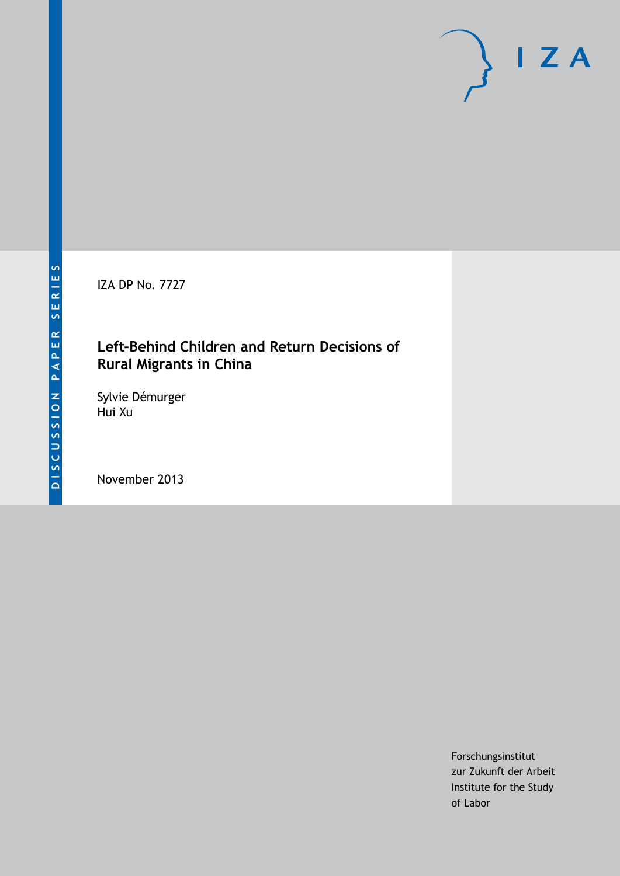IZA DP No. 7727

## **Left-Behind Children and Return Decisions of Rural Migrants in China**

Sylvie Démurger Hui Xu

November 2013

Forschungsinstitut zur Zukunft der Arbeit Institute for the Study of Labor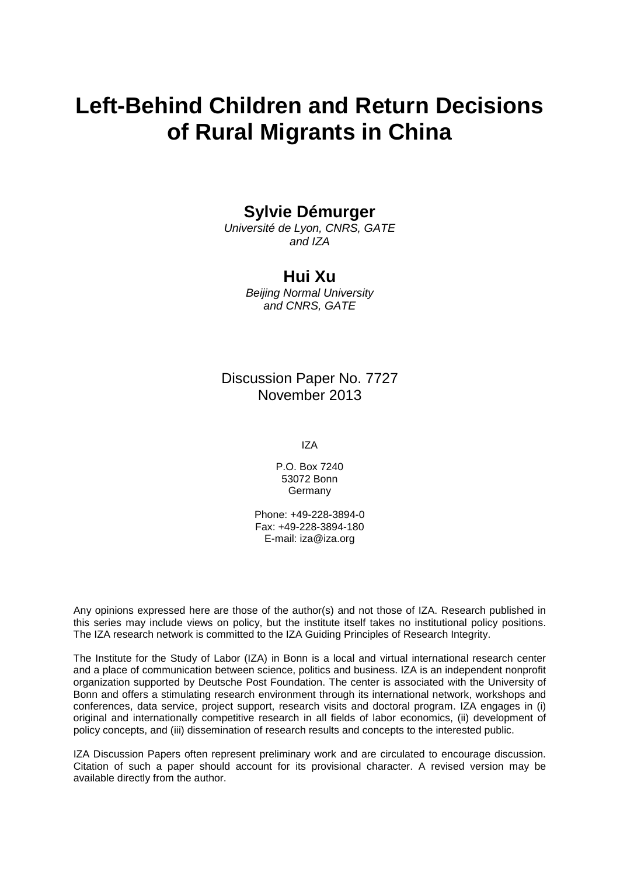# **Left-Behind Children and Return Decisions of Rural Migrants in China**

### **Sylvie Démurger**

*Université de Lyon, CNRS, GATE and IZA*

### **Hui Xu**

*Beijing Normal University and CNRS, GATE*

### Discussion Paper No. 7727 November 2013

IZA

P.O. Box 7240 53072 Bonn **Germany** 

Phone: +49-228-3894-0 Fax: +49-228-3894-180 E-mail: [iza@iza.org](mailto:iza@iza.org)

Any opinions expressed here are those of the author(s) and not those of IZA. Research published in this series may include views on policy, but the institute itself takes no institutional policy positions. The IZA research network is committed to the IZA Guiding Principles of Research Integrity.

The Institute for the Study of Labor (IZA) in Bonn is a local and virtual international research center and a place of communication between science, politics and business. IZA is an independent nonprofit organization supported by Deutsche Post Foundation. The center is associated with the University of Bonn and offers a stimulating research environment through its international network, workshops and conferences, data service, project support, research visits and doctoral program. IZA engages in (i) original and internationally competitive research in all fields of labor economics, (ii) development of policy concepts, and (iii) dissemination of research results and concepts to the interested public.

IZA Discussion Papers often represent preliminary work and are circulated to encourage discussion. Citation of such a paper should account for its provisional character. A revised version may be available directly from the author.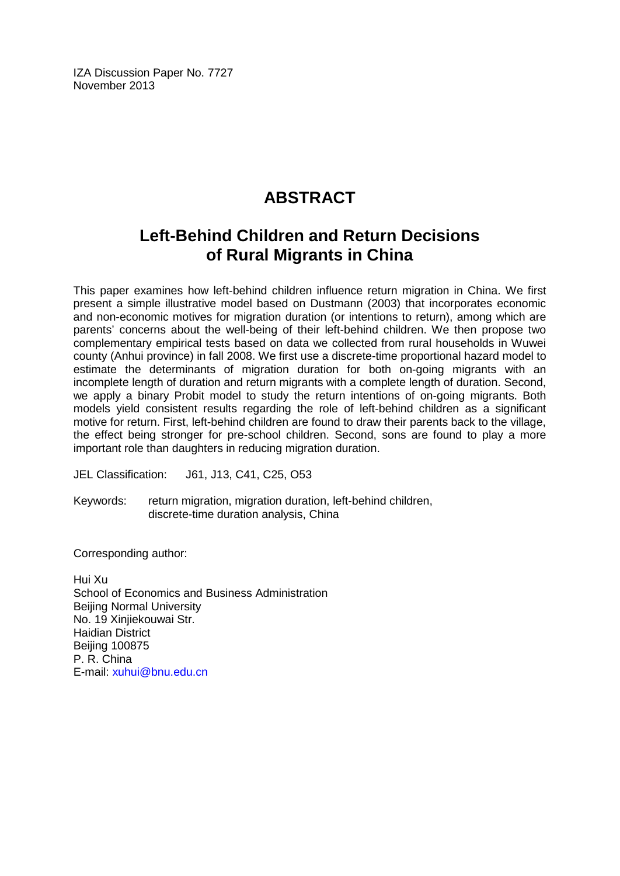IZA Discussion Paper No. 7727 November 2013

# **ABSTRACT**

# **Left-Behind Children and Return Decisions of Rural Migrants in China**

This paper examines how left-behind children influence return migration in China. We first present a simple illustrative model based on Dustmann (2003) that incorporates economic and non-economic motives for migration duration (or intentions to return), among which are parents' concerns about the well-being of their left-behind children. We then propose two complementary empirical tests based on data we collected from rural households in Wuwei county (Anhui province) in fall 2008. We first use a discrete-time proportional hazard model to estimate the determinants of migration duration for both on-going migrants with an incomplete length of duration and return migrants with a complete length of duration. Second, we apply a binary Probit model to study the return intentions of on-going migrants. Both models yield consistent results regarding the role of left-behind children as a significant motive for return. First, left-behind children are found to draw their parents back to the village, the effect being stronger for pre-school children. Second, sons are found to play a more important role than daughters in reducing migration duration.

JEL Classification: J61, J13, C41, C25, O53

Keywords: return migration, migration duration, left-behind children, discrete-time duration analysis, China

Corresponding author:

Hui Xu School of Economics and Business Administration Beijing Normal University No. 19 Xinjiekouwai Str. Haidian District Beijing 100875 P. R. China E-mail: [xuhui@bnu.edu.cn](mailto:xuhui@bnu.edu.cn)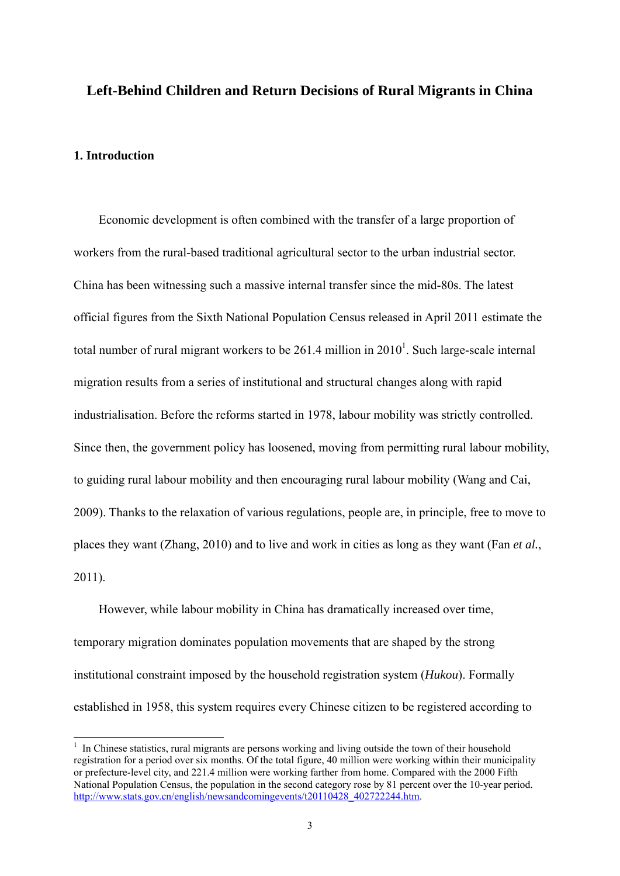#### **Left-Behind Children and Return Decisions of Rural Migrants in China**

#### **1. Introduction**

<u>.</u>

Economic development is often combined with the transfer of a large proportion of workers from the rural-based traditional agricultural sector to the urban industrial sector. China has been witnessing such a massive internal transfer since the mid-80s. The latest official figures from the Sixth National Population Census released in April 2011 estimate the total number of rural migrant workers to be 261.4 million in  $2010<sup>1</sup>$ . Such large-scale internal migration results from a series of institutional and structural changes along with rapid industrialisation. Before the reforms started in 1978, labour mobility was strictly controlled. Since then, the government policy has loosened, moving from permitting rural labour mobility, to guiding rural labour mobility and then encouraging rural labour mobility (Wang and Cai, 2009). Thanks to the relaxation of various regulations, people are, in principle, free to move to places they want (Zhang, 2010) and to live and work in cities as long as they want (Fan *et al.*, 2011).

However, while labour mobility in China has dramatically increased over time, temporary migration dominates population movements that are shaped by the strong institutional constraint imposed by the household registration system (*Hukou*). Formally established in 1958, this system requires every Chinese citizen to be registered according to

<sup>&</sup>lt;sup>1</sup> In Chinese statistics, rural migrants are persons working and living outside the town of their household registration for a period over six months. Of the total figure, 40 million were working within their municipality or prefecture-level city, and 221.4 million were working farther from home. Compared with the 2000 Fifth National Population Census, the population in the second category rose by 81 percent over the 10-year period. http://www.stats.gov.cn/english/newsandcomingevents/t20110428\_402722244.htm.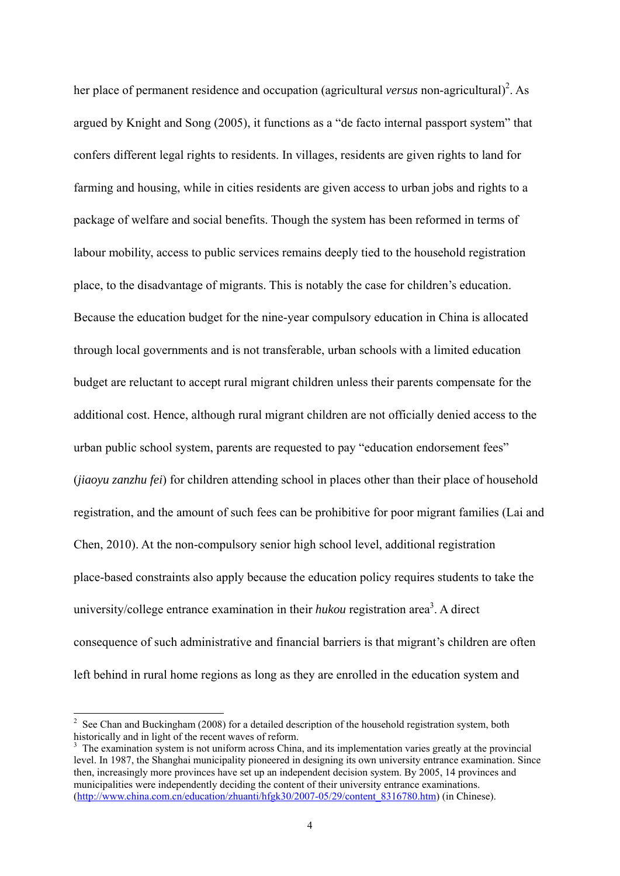her place of permanent residence and occupation (agricultural *versus* non-agricultural)<sup>2</sup>. As argued by Knight and Song (2005), it functions as a "de facto internal passport system" that confers different legal rights to residents. In villages, residents are given rights to land for farming and housing, while in cities residents are given access to urban jobs and rights to a package of welfare and social benefits. Though the system has been reformed in terms of labour mobility, access to public services remains deeply tied to the household registration place, to the disadvantage of migrants. This is notably the case for children's education. Because the education budget for the nine-year compulsory education in China is allocated through local governments and is not transferable, urban schools with a limited education budget are reluctant to accept rural migrant children unless their parents compensate for the additional cost. Hence, although rural migrant children are not officially denied access to the urban public school system, parents are requested to pay "education endorsement fees" (*jiaoyu zanzhu fei*) for children attending school in places other than their place of household registration, and the amount of such fees can be prohibitive for poor migrant families (Lai and Chen, 2010). At the non-compulsory senior high school level, additional registration place-based constraints also apply because the education policy requires students to take the university/college entrance examination in their  $hukou$  registration area<sup>3</sup>. A direct consequence of such administrative and financial barriers is that migrant's children are often left behind in rural home regions as long as they are enrolled in the education system and

<sup>&</sup>lt;sup>2</sup> See Chan and Buckingham (2008) for a detailed description of the household registration system, both historically and in light of the recent waves of reform.

<sup>&</sup>lt;sup>3</sup> The examination system is not uniform across China, and its implementation varies greatly at the provincial level. In 1987, the Shanghai municipality pioneered in designing its own university entrance examination. Since then, increasingly more provinces have set up an independent decision system. By 2005, 14 provinces and municipalities were independently deciding the content of their university entrance examinations. (http://www.china.com.cn/education/zhuanti/hfgk30/2007-05/29/content\_8316780.htm) (in Chinese).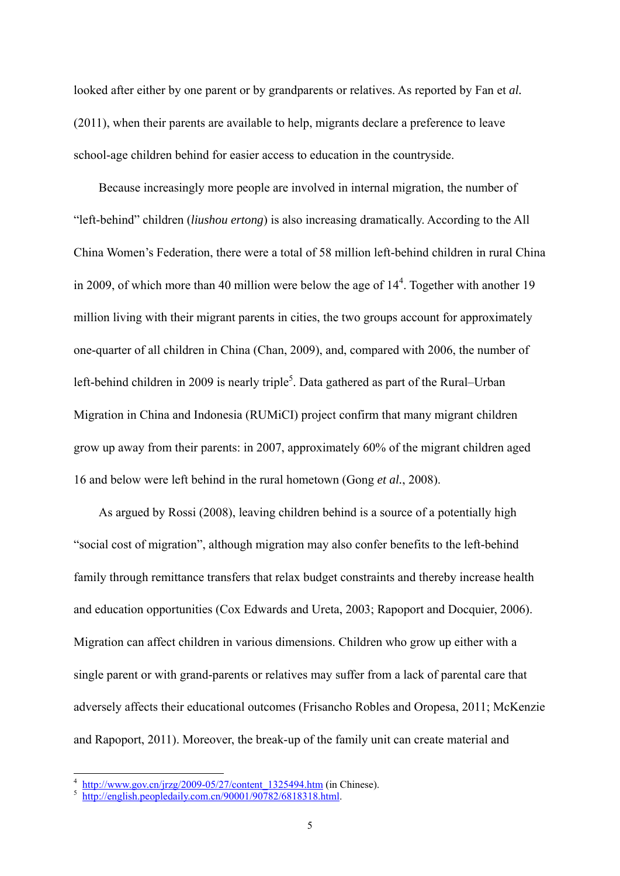looked after either by one parent or by grandparents or relatives. As reported by Fan et *al.* (2011), when their parents are available to help, migrants declare a preference to leave school-age children behind for easier access to education in the countryside.

Because increasingly more people are involved in internal migration, the number of "left-behind" children (*liushou ertong*) is also increasing dramatically. According to the All China Women's Federation, there were a total of 58 million left-behind children in rural China in 2009, of which more than 40 million were below the age of  $14<sup>4</sup>$ . Together with another 19 million living with their migrant parents in cities, the two groups account for approximately one-quarter of all children in China (Chan, 2009), and, compared with 2006, the number of left-behind children in 2009 is nearly triple<sup>5</sup>. Data gathered as part of the Rural–Urban Migration in China and Indonesia (RUMiCI) project confirm that many migrant children grow up away from their parents: in 2007, approximately 60% of the migrant children aged 16 and below were left behind in the rural hometown (Gong *et al.*, 2008).

As argued by Rossi (2008), leaving children behind is a source of a potentially high "social cost of migration", although migration may also confer benefits to the left-behind family through remittance transfers that relax budget constraints and thereby increase health and education opportunities (Cox Edwards and Ureta, 2003; Rapoport and Docquier, 2006). Migration can affect children in various dimensions. Children who grow up either with a single parent or with grand-parents or relatives may suffer from a lack of parental care that adversely affects their educational outcomes (Frisancho Robles and Oropesa, 2011; McKenzie and Rapoport, 2011). Moreover, the break-up of the family unit can create material and

http://www.gov.cn/jrzg/2009-05/27/content\_1325494.htm (in Chinese).<br>http://english.peopledaily.com.cn/90001/90782/6818318.html.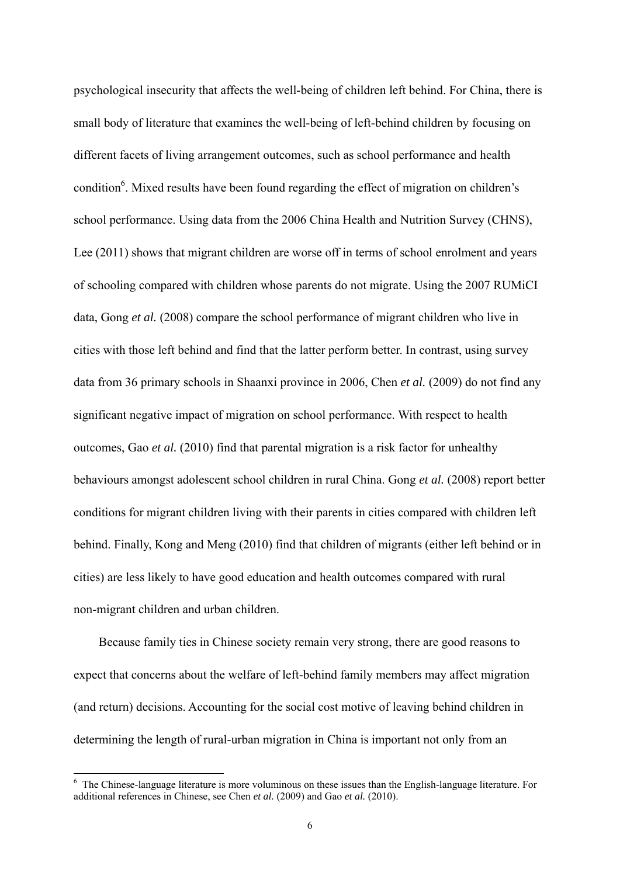psychological insecurity that affects the well-being of children left behind. For China, there is small body of literature that examines the well-being of left-behind children by focusing on different facets of living arrangement outcomes, such as school performance and health condition<sup>6</sup>. Mixed results have been found regarding the effect of migration on children's school performance. Using data from the 2006 China Health and Nutrition Survey (CHNS), Lee (2011) shows that migrant children are worse off in terms of school enrolment and years of schooling compared with children whose parents do not migrate. Using the 2007 RUMiCI data, Gong *et al.* (2008) compare the school performance of migrant children who live in cities with those left behind and find that the latter perform better. In contrast, using survey data from 36 primary schools in Shaanxi province in 2006, Chen *et al.* (2009) do not find any significant negative impact of migration on school performance. With respect to health outcomes, Gao *et al.* (2010) find that parental migration is a risk factor for unhealthy behaviours amongst adolescent school children in rural China. Gong *et al.* (2008) report better conditions for migrant children living with their parents in cities compared with children left behind. Finally, Kong and Meng (2010) find that children of migrants (either left behind or in cities) are less likely to have good education and health outcomes compared with rural non-migrant children and urban children.

Because family ties in Chinese society remain very strong, there are good reasons to expect that concerns about the welfare of left-behind family members may affect migration (and return) decisions. Accounting for the social cost motive of leaving behind children in determining the length of rural-urban migration in China is important not only from an

<sup>&</sup>lt;sup>6</sup> The Chinese-language literature is more voluminous on these issues than the English-language literature. For additional references in Chinese, see Chen *et al.* (2009) and Gao *et al.* (2010).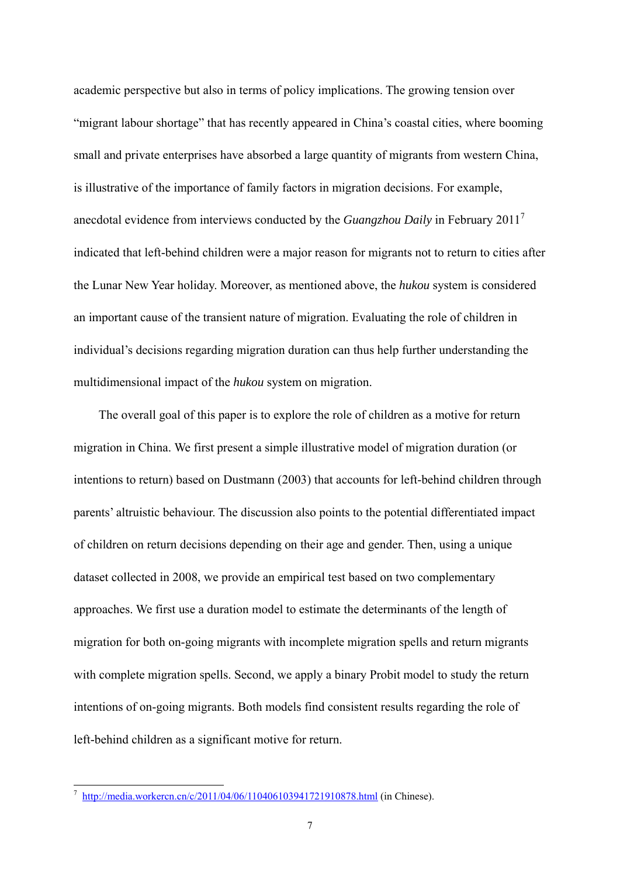academic perspective but also in terms of policy implications. The growing tension over "migrant labour shortage" that has recently appeared in China's coastal cities, where booming small and private enterprises have absorbed a large quantity of migrants from western China, is illustrative of the importance of family factors in migration decisions. For example, anecdotal evidence from interviews conducted by the *Guangzhou Daily* in February 20117 indicated that left-behind children were a major reason for migrants not to return to cities after the Lunar New Year holiday. Moreover, as mentioned above, the *hukou* system is considered an important cause of the transient nature of migration. Evaluating the role of children in individual's decisions regarding migration duration can thus help further understanding the multidimensional impact of the *hukou* system on migration.

The overall goal of this paper is to explore the role of children as a motive for return migration in China. We first present a simple illustrative model of migration duration (or intentions to return) based on Dustmann (2003) that accounts for left-behind children through parents' altruistic behaviour. The discussion also points to the potential differentiated impact of children on return decisions depending on their age and gender. Then, using a unique dataset collected in 2008, we provide an empirical test based on two complementary approaches. We first use a duration model to estimate the determinants of the length of migration for both on-going migrants with incomplete migration spells and return migrants with complete migration spells. Second, we apply a binary Probit model to study the return intentions of on-going migrants. Both models find consistent results regarding the role of left-behind children as a significant motive for return.

-

http://media.workercn.cn/c/2011/04/06/110406103941721910878.html (in Chinese).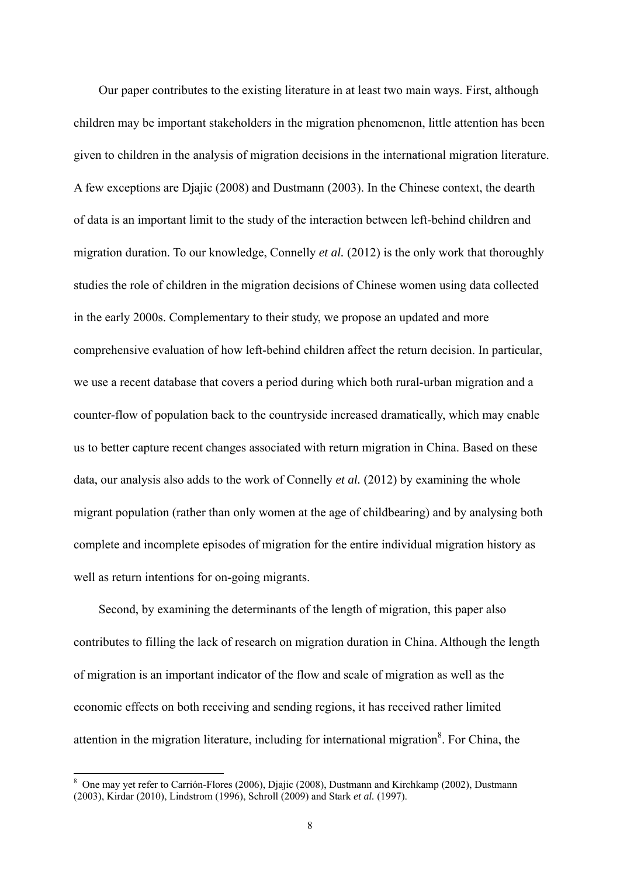Our paper contributes to the existing literature in at least two main ways. First, although children may be important stakeholders in the migration phenomenon, little attention has been given to children in the analysis of migration decisions in the international migration literature. A few exceptions are Djajic (2008) and Dustmann (2003). In the Chinese context, the dearth of data is an important limit to the study of the interaction between left-behind children and migration duration. To our knowledge, Connelly *et al.* (2012) is the only work that thoroughly studies the role of children in the migration decisions of Chinese women using data collected in the early 2000s. Complementary to their study, we propose an updated and more comprehensive evaluation of how left-behind children affect the return decision. In particular, we use a recent database that covers a period during which both rural-urban migration and a counter-flow of population back to the countryside increased dramatically, which may enable us to better capture recent changes associated with return migration in China. Based on these data, our analysis also adds to the work of Connelly *et al.* (2012) by examining the whole migrant population (rather than only women at the age of childbearing) and by analysing both complete and incomplete episodes of migration for the entire individual migration history as well as return intentions for on-going migrants.

Second, by examining the determinants of the length of migration, this paper also contributes to filling the lack of research on migration duration in China. Although the length of migration is an important indicator of the flow and scale of migration as well as the economic effects on both receiving and sending regions, it has received rather limited attention in the migration literature, including for international migration<sup>8</sup>. For China, the

<sup>&</sup>lt;sup>8</sup> One may yet refer to Carrión-Flores (2006), Djajic (2008), Dustmann and Kirchkamp (2002), Dustmann (2003), Kirdar (2010), Lindstrom (1996), Schroll (2009) and Stark *et al.* (1997).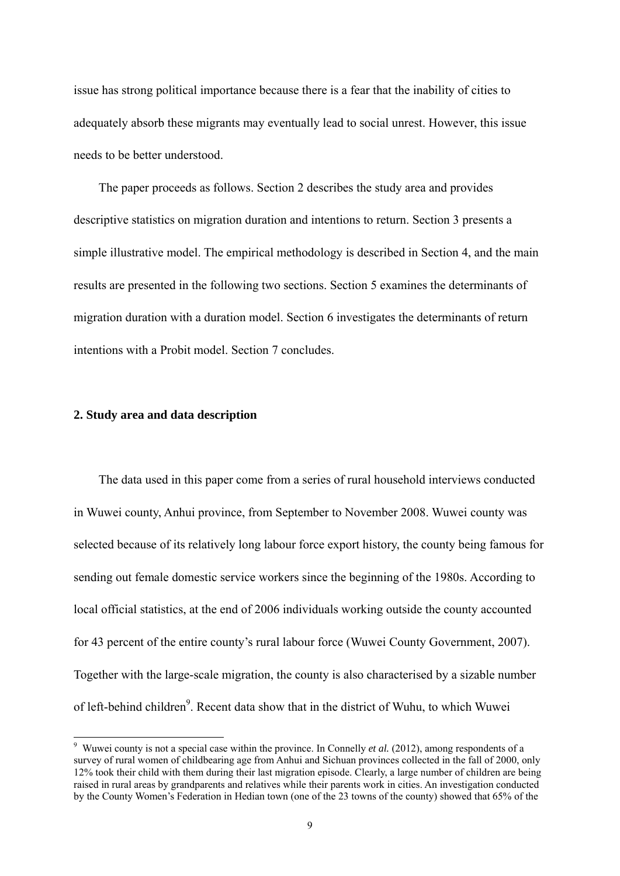issue has strong political importance because there is a fear that the inability of cities to adequately absorb these migrants may eventually lead to social unrest. However, this issue needs to be better understood.

The paper proceeds as follows. Section 2 describes the study area and provides descriptive statistics on migration duration and intentions to return. Section 3 presents a simple illustrative model. The empirical methodology is described in Section 4, and the main results are presented in the following two sections. Section 5 examines the determinants of migration duration with a duration model. Section 6 investigates the determinants of return intentions with a Probit model. Section 7 concludes.

#### **2. Study area and data description**

<u>.</u>

The data used in this paper come from a series of rural household interviews conducted in Wuwei county, Anhui province, from September to November 2008. Wuwei county was selected because of its relatively long labour force export history, the county being famous for sending out female domestic service workers since the beginning of the 1980s. According to local official statistics, at the end of 2006 individuals working outside the county accounted for 43 percent of the entire county's rural labour force (Wuwei County Government, 2007). Together with the large-scale migration, the county is also characterised by a sizable number of left-behind children<sup>9</sup>. Recent data show that in the district of Wuhu, to which Wuwei

<sup>&</sup>lt;sup>9</sup> Wuwei county is not a special case within the province. In Connelly *et al.* (2012), among respondents of a survey of rural women of childbearing age from Anhui and Sichuan provinces collected in the fall of 2000, only 12% took their child with them during their last migration episode. Clearly, a large number of children are being raised in rural areas by grandparents and relatives while their parents work in cities. An investigation conducted by the County Women's Federation in Hedian town (one of the 23 towns of the county) showed that 65% of the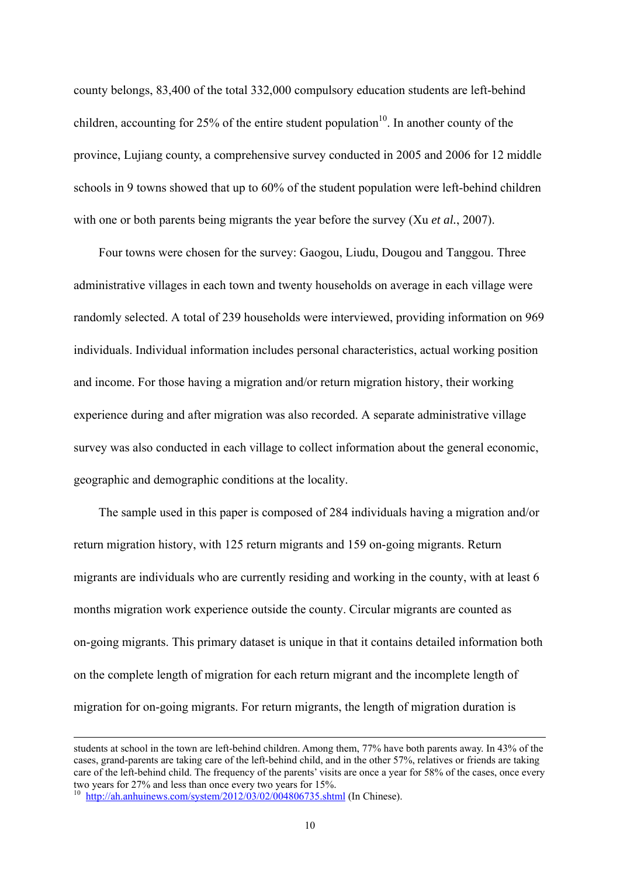county belongs, 83,400 of the total 332,000 compulsory education students are left-behind children, accounting for 25% of the entire student population<sup>10</sup>. In another county of the province, Lujiang county, a comprehensive survey conducted in 2005 and 2006 for 12 middle schools in 9 towns showed that up to 60% of the student population were left-behind children with one or both parents being migrants the year before the survey (Xu *et al.*, 2007).

Four towns were chosen for the survey: Gaogou, Liudu, Dougou and Tanggou. Three administrative villages in each town and twenty households on average in each village were randomly selected. A total of 239 households were interviewed, providing information on 969 individuals. Individual information includes personal characteristics, actual working position and income. For those having a migration and/or return migration history, their working experience during and after migration was also recorded. A separate administrative village survey was also conducted in each village to collect information about the general economic, geographic and demographic conditions at the locality.

The sample used in this paper is composed of 284 individuals having a migration and/or return migration history, with 125 return migrants and 159 on-going migrants. Return migrants are individuals who are currently residing and working in the county, with at least 6 months migration work experience outside the county. Circular migrants are counted as on-going migrants. This primary dataset is unique in that it contains detailed information both on the complete length of migration for each return migrant and the incomplete length of migration for on-going migrants. For return migrants, the length of migration duration is

students at school in the town are left-behind children. Among them, 77% have both parents away. In 43% of the cases, grand-parents are taking care of the left-behind child, and in the other 57%, relatives or friends are taking care of the left-behind child. The frequency of the parents' visits are once a year for 58% of the cases, once every two years for 27% and less than once every two years for 15%.

<sup>&</sup>lt;sup>10</sup> http://ah.anhuinews.com/system/2012/03/02/004806735.shtml (In Chinese).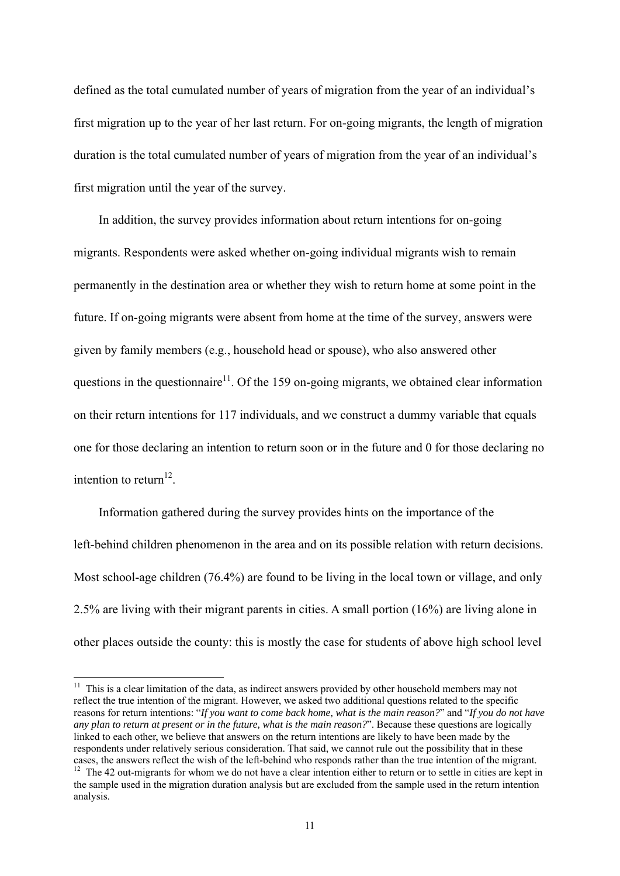defined as the total cumulated number of years of migration from the year of an individual's first migration up to the year of her last return. For on-going migrants, the length of migration duration is the total cumulated number of years of migration from the year of an individual's first migration until the year of the survey.

In addition, the survey provides information about return intentions for on-going migrants. Respondents were asked whether on-going individual migrants wish to remain permanently in the destination area or whether they wish to return home at some point in the future. If on-going migrants were absent from home at the time of the survey, answers were given by family members (e.g., household head or spouse), who also answered other questions in the questionnaire<sup>11</sup>. Of the 159 on-going migrants, we obtained clear information on their return intentions for 117 individuals, and we construct a dummy variable that equals one for those declaring an intention to return soon or in the future and 0 for those declaring no intention to return<sup>12</sup>.

Information gathered during the survey provides hints on the importance of the left-behind children phenomenon in the area and on its possible relation with return decisions. Most school-age children (76.4%) are found to be living in the local town or village, and only 2.5% are living with their migrant parents in cities. A small portion (16%) are living alone in other places outside the county: this is mostly the case for students of above high school level

-

 $11$  This is a clear limitation of the data, as indirect answers provided by other household members may not reflect the true intention of the migrant. However, we asked two additional questions related to the specific reasons for return intentions: "*If you want to come back home, what is the main reason?*" and "*If you do not have any plan to return at present or in the future, what is the main reason?*". Because these questions are logically linked to each other, we believe that answers on the return intentions are likely to have been made by the respondents under relatively serious consideration. That said, we cannot rule out the possibility that in these cases, the answers reflect the wish of the left-behind who responds rather than the true intention of the migr

<sup>&</sup>lt;sup>12</sup> The 42 out-migrants for whom we do not have a clear intention either to return or to settle in cities are kept in the sample used in the migration duration analysis but are excluded from the sample used in the return intention analysis.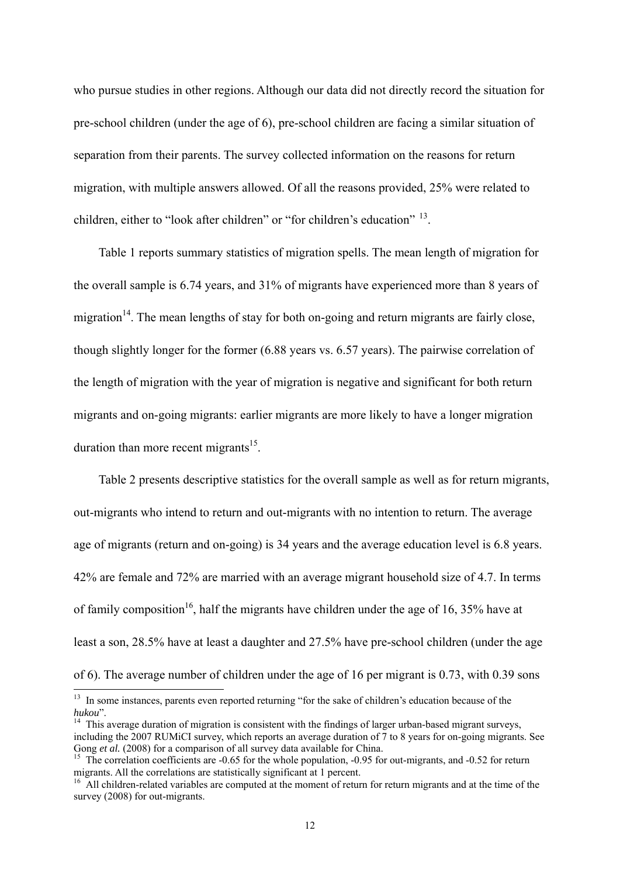who pursue studies in other regions. Although our data did not directly record the situation for pre-school children (under the age of 6), pre-school children are facing a similar situation of separation from their parents. The survey collected information on the reasons for return migration, with multiple answers allowed. Of all the reasons provided, 25% were related to children, either to "look after children" or "for children's education" <sup>13</sup>.

Table 1 reports summary statistics of migration spells. The mean length of migration for the overall sample is 6.74 years, and 31% of migrants have experienced more than 8 years of migration<sup>14</sup>. The mean lengths of stay for both on-going and return migrants are fairly close, though slightly longer for the former (6.88 years vs. 6.57 years). The pairwise correlation of the length of migration with the year of migration is negative and significant for both return migrants and on-going migrants: earlier migrants are more likely to have a longer migration duration than more recent migrants<sup>15</sup>.

Table 2 presents descriptive statistics for the overall sample as well as for return migrants, out-migrants who intend to return and out-migrants with no intention to return. The average age of migrants (return and on-going) is 34 years and the average education level is 6.8 years. 42% are female and 72% are married with an average migrant household size of 4.7. In terms of family composition<sup>16</sup>, half the migrants have children under the age of 16, 35% have at least a son, 28.5% have at least a daughter and 27.5% have pre-school children (under the age of 6). The average number of children under the age of 16 per migrant is 0.73, with 0.39 sons

<sup>&</sup>lt;sup>13</sup> In some instances, parents even reported returning "for the sake of children's education because of the *hukou*".<br><sup>14</sup> This average duration of migration is consistent with the findings of larger urban-based migrant surveys,

including the 2007 RUMiCI survey, which reports an average duration of  $\overline{7}$  to 8 years for on-going migrants. See<br>Gong *et al.* (2008) for a comparison of all survey data available for China.

<sup>&</sup>lt;sup>15</sup> The correlation coefficients are  $-0.65$  for the whole population,  $-0.95$  for out-migrants, and  $-0.52$  for return migrants. All the correlations are statistically significant at 1 percent.<br><sup>16</sup> All children-related variables are computed at the moment of return for return migrants and at the time of the

survey (2008) for out-migrants.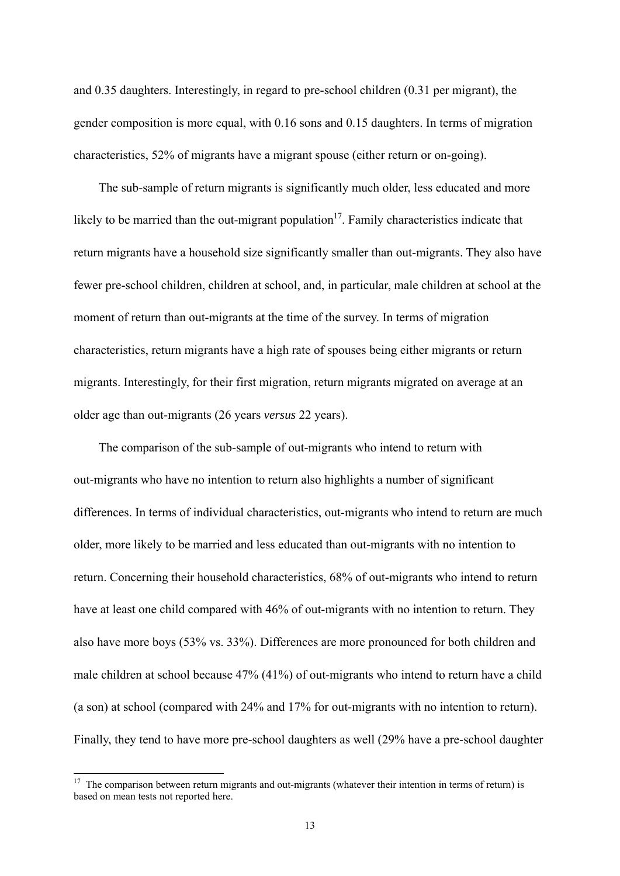and 0.35 daughters. Interestingly, in regard to pre-school children (0.31 per migrant), the gender composition is more equal, with 0.16 sons and 0.15 daughters. In terms of migration characteristics, 52% of migrants have a migrant spouse (either return or on-going).

The sub-sample of return migrants is significantly much older, less educated and more likely to be married than the out-migrant population<sup>17</sup>. Family characteristics indicate that return migrants have a household size significantly smaller than out-migrants. They also have fewer pre-school children, children at school, and, in particular, male children at school at the moment of return than out-migrants at the time of the survey. In terms of migration characteristics, return migrants have a high rate of spouses being either migrants or return migrants. Interestingly, for their first migration, return migrants migrated on average at an older age than out-migrants (26 years *versus* 22 years).

The comparison of the sub-sample of out-migrants who intend to return with out-migrants who have no intention to return also highlights a number of significant differences. In terms of individual characteristics, out-migrants who intend to return are much older, more likely to be married and less educated than out-migrants with no intention to return. Concerning their household characteristics, 68% of out-migrants who intend to return have at least one child compared with 46% of out-migrants with no intention to return. They also have more boys (53% vs. 33%). Differences are more pronounced for both children and male children at school because 47% (41%) of out-migrants who intend to return have a child (a son) at school (compared with 24% and 17% for out-migrants with no intention to return). Finally, they tend to have more pre-school daughters as well (29% have a pre-school daughter

 $17$  The comparison between return migrants and out-migrants (whatever their intention in terms of return) is based on mean tests not reported here.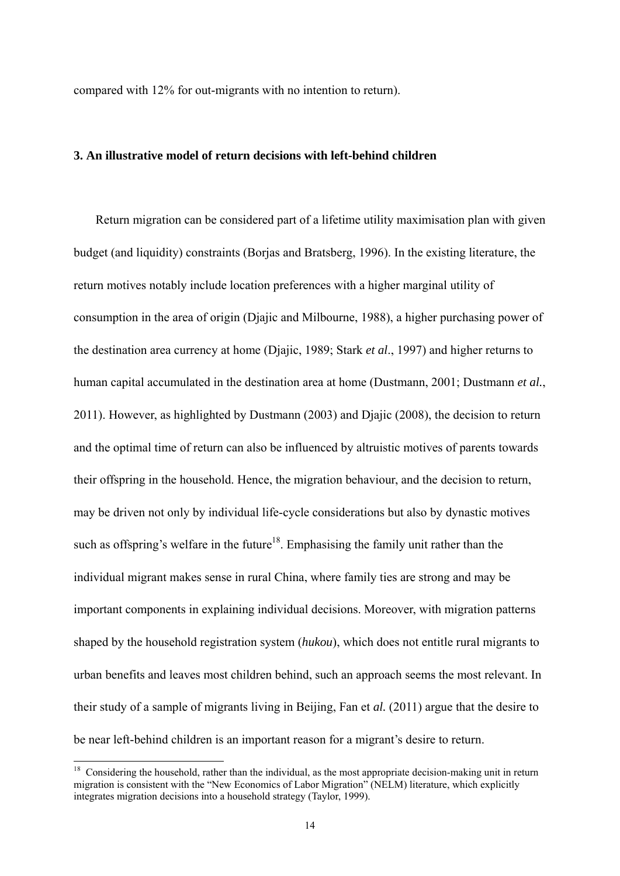compared with 12% for out-migrants with no intention to return).

#### **3. An illustrative model of return decisions with left-behind children**

Return migration can be considered part of a lifetime utility maximisation plan with given budget (and liquidity) constraints (Borjas and Bratsberg, 1996). In the existing literature, the return motives notably include location preferences with a higher marginal utility of consumption in the area of origin (Djajic and Milbourne, 1988), a higher purchasing power of the destination area currency at home (Djajic, 1989; Stark *et al*., 1997) and higher returns to human capital accumulated in the destination area at home (Dustmann, 2001; Dustmann *et al.*, 2011). However, as highlighted by Dustmann (2003) and Djajic (2008), the decision to return and the optimal time of return can also be influenced by altruistic motives of parents towards their offspring in the household. Hence, the migration behaviour, and the decision to return, may be driven not only by individual life-cycle considerations but also by dynastic motives such as offspring's welfare in the future<sup>18</sup>. Emphasising the family unit rather than the individual migrant makes sense in rural China, where family ties are strong and may be important components in explaining individual decisions. Moreover, with migration patterns shaped by the household registration system (*hukou*), which does not entitle rural migrants to urban benefits and leaves most children behind, such an approach seems the most relevant. In their study of a sample of migrants living in Beijing, Fan et *al.* (2011) argue that the desire to be near left-behind children is an important reason for a migrant's desire to return.

 $18$  Considering the household, rather than the individual, as the most appropriate decision-making unit in return migration is consistent with the "New Economics of Labor Migration" (NELM) literature, which explicitly integrates migration decisions into a household strategy (Taylor, 1999).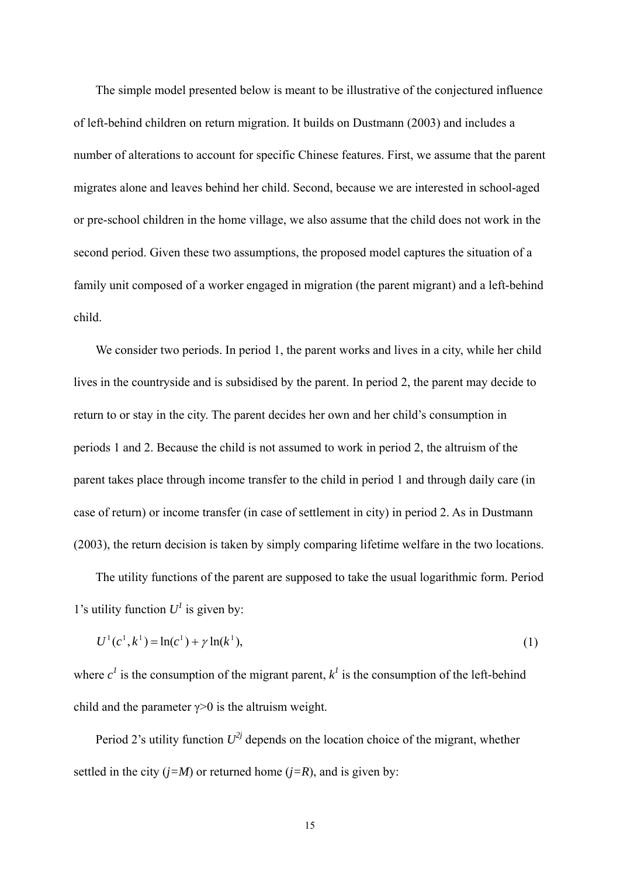The simple model presented below is meant to be illustrative of the conjectured influence of left-behind children on return migration. It builds on Dustmann (2003) and includes a number of alterations to account for specific Chinese features. First, we assume that the parent migrates alone and leaves behind her child. Second, because we are interested in school-aged or pre-school children in the home village, we also assume that the child does not work in the second period. Given these two assumptions, the proposed model captures the situation of a family unit composed of a worker engaged in migration (the parent migrant) and a left-behind child.

We consider two periods. In period 1, the parent works and lives in a city, while her child lives in the countryside and is subsidised by the parent. In period 2, the parent may decide to return to or stay in the city. The parent decides her own and her child's consumption in periods 1 and 2. Because the child is not assumed to work in period 2, the altruism of the parent takes place through income transfer to the child in period 1 and through daily care (in case of return) or income transfer (in case of settlement in city) in period 2. As in Dustmann (2003), the return decision is taken by simply comparing lifetime welfare in the two locations.

The utility functions of the parent are supposed to take the usual logarithmic form. Period 1's utility function  $U^I$  is given by:

$$
U^{1}(c^{1}, k^{1}) = \ln(c^{1}) + \gamma \ln(k^{1}),
$$
\n(1)

where  $c^1$  is the consumption of the migrant parent,  $k^1$  is the consumption of the left-behind child and the parameter  $\gamma > 0$  is the altruism weight.

Period 2's utility function  $U^{2j}$  depends on the location choice of the migrant, whether settled in the city  $(j=M)$  or returned home  $(j=R)$ , and is given by: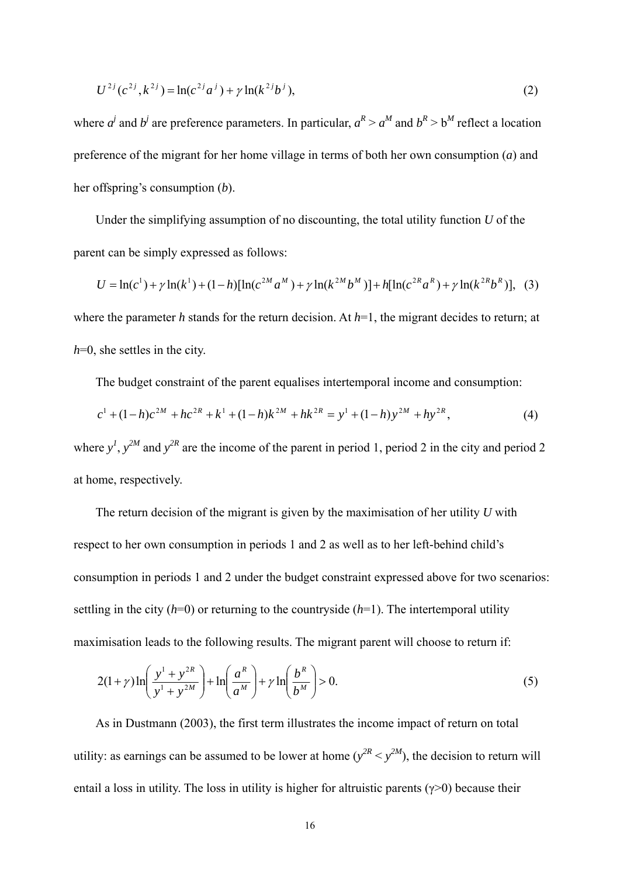$$
U^{2j}(c^{2j}, k^{2j}) = \ln(c^{2j}a^{j}) + \gamma \ln(k^{2j}b^{j}),
$$
\n(2)

where  $a^j$  and  $b^j$  are preference parameters. In particular,  $a^R > a^M$  and  $b^R > b^M$  reflect a location preference of the migrant for her home village in terms of both her own consumption (*a*) and her offspring's consumption (*b*).

Under the simplifying assumption of no discounting, the total utility function *U* of the parent can be simply expressed as follows:

$$
U = \ln(c^{1}) + \gamma \ln(k^{1}) + (1 - h)[\ln(c^{2M}a^{M}) + \gamma \ln(k^{2M}b^{M})] + h[\ln(c^{2R}a^{R}) + \gamma \ln(k^{2R}b^{R})], \quad (3)
$$

where the parameter *h* stands for the return decision. At *h*=1, the migrant decides to return; at *h*=0, she settles in the city.

The budget constraint of the parent equalises intertemporal income and consumption:

$$
c1 + (1-h)c2M + hc2R + k1 + (1-h)k2M + hk2R = y1 + (1-h)y2M + hy2R,
$$
\n(4)

where  $y^I$ ,  $y^{2M}$  and  $y^{2R}$  are the income of the parent in period 1, period 2 in the city and period 2 at home, respectively.

The return decision of the migrant is given by the maximisation of her utility *U* with respect to her own consumption in periods 1 and 2 as well as to her left-behind child's consumption in periods 1 and 2 under the budget constraint expressed above for two scenarios: settling in the city  $(h=0)$  or returning to the countryside  $(h=1)$ . The intertemporal utility maximisation leads to the following results. The migrant parent will choose to return if:

$$
2(1+\gamma)\ln\left(\frac{y^1+y^{2R}}{y^1+y^{2M}}\right) + \ln\left(\frac{a^R}{a^M}\right) + \gamma\ln\left(\frac{b^R}{b^M}\right) > 0.
$$
 (5)

As in Dustmann (2003), the first term illustrates the income impact of return on total utility: as earnings can be assumed to be lower at home  $(y^{2R} < y^{2M})$ , the decision to return will entail a loss in utility. The loss in utility is higher for altruistic parents ( $\gamma$ >0) because their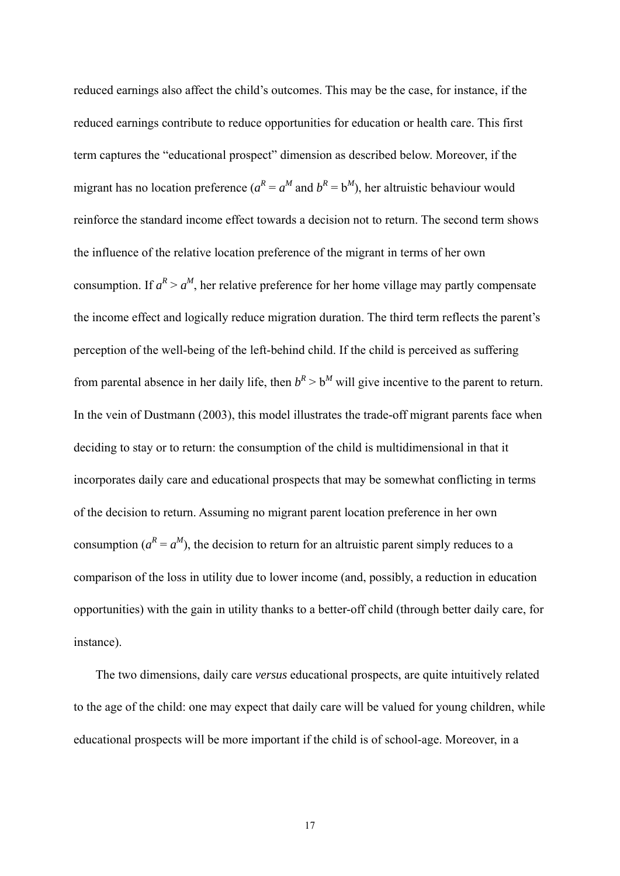reduced earnings also affect the child's outcomes. This may be the case, for instance, if the reduced earnings contribute to reduce opportunities for education or health care. This first term captures the "educational prospect" dimension as described below. Moreover, if the migrant has no location preference  $(a^R = a^M$  and  $b^R = b^M$ ), her altruistic behaviour would reinforce the standard income effect towards a decision not to return. The second term shows the influence of the relative location preference of the migrant in terms of her own consumption. If  $a^R > a^M$ , her relative preference for her home village may partly compensate the income effect and logically reduce migration duration. The third term reflects the parent's perception of the well-being of the left-behind child. If the child is perceived as suffering from parental absence in her daily life, then  $b^R > b^M$  will give incentive to the parent to return. In the vein of Dustmann (2003), this model illustrates the trade-off migrant parents face when deciding to stay or to return: the consumption of the child is multidimensional in that it incorporates daily care and educational prospects that may be somewhat conflicting in terms of the decision to return. Assuming no migrant parent location preference in her own consumption  $(a^R = a^M)$ , the decision to return for an altruistic parent simply reduces to a comparison of the loss in utility due to lower income (and, possibly, a reduction in education opportunities) with the gain in utility thanks to a better-off child (through better daily care, for instance).

The two dimensions, daily care *versus* educational prospects, are quite intuitively related to the age of the child: one may expect that daily care will be valued for young children, while educational prospects will be more important if the child is of school-age. Moreover, in a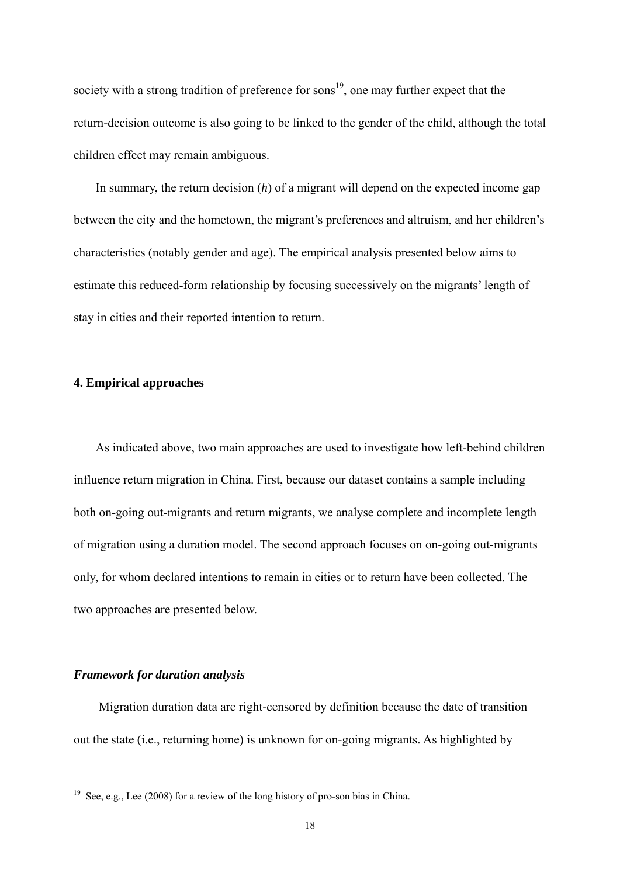society with a strong tradition of preference for sons<sup>19</sup>, one may further expect that the return-decision outcome is also going to be linked to the gender of the child, although the total children effect may remain ambiguous.

In summary, the return decision (*h*) of a migrant will depend on the expected income gap between the city and the hometown, the migrant's preferences and altruism, and her children's characteristics (notably gender and age). The empirical analysis presented below aims to estimate this reduced-form relationship by focusing successively on the migrants' length of stay in cities and their reported intention to return.

#### **4. Empirical approaches**

As indicated above, two main approaches are used to investigate how left-behind children influence return migration in China. First, because our dataset contains a sample including both on-going out-migrants and return migrants, we analyse complete and incomplete length of migration using a duration model. The second approach focuses on on-going out-migrants only, for whom declared intentions to remain in cities or to return have been collected. The two approaches are presented below.

#### *Framework for duration analysis*

-

Migration duration data are right-censored by definition because the date of transition out the state (i.e., returning home) is unknown for on-going migrants. As highlighted by

<sup>&</sup>lt;sup>19</sup> See, e.g., Lee (2008) for a review of the long history of pro-son bias in China.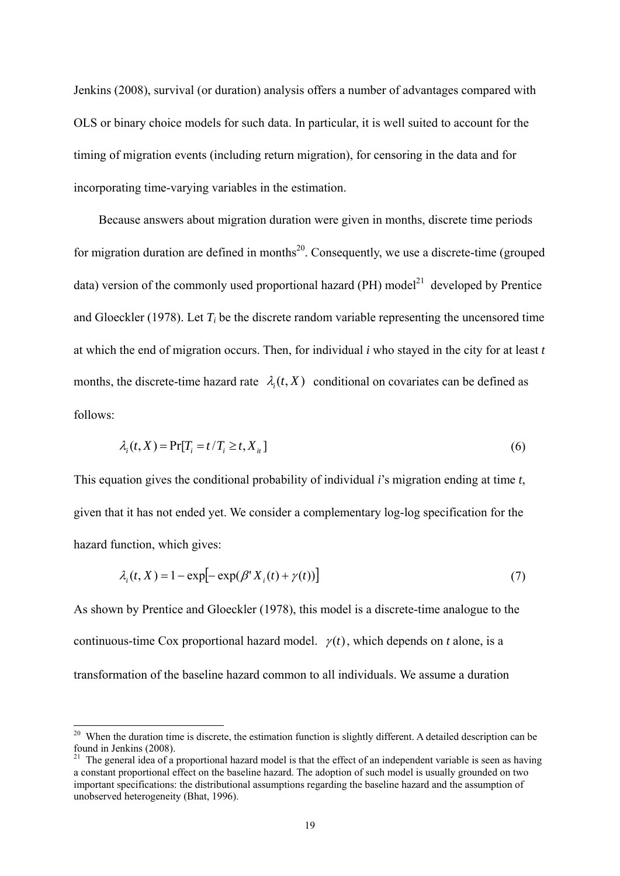Jenkins (2008), survival (or duration) analysis offers a number of advantages compared with OLS or binary choice models for such data. In particular, it is well suited to account for the timing of migration events (including return migration), for censoring in the data and for incorporating time-varying variables in the estimation.

Because answers about migration duration were given in months, discrete time periods for migration duration are defined in months<sup>20</sup>. Consequently, we use a discrete-time (grouped data) version of the commonly used proportional hazard (PH) model<sup>21</sup> developed by Prentice and Gloeckler (1978). Let *Ti* be the discrete random variable representing the uncensored time at which the end of migration occurs. Then, for individual *i* who stayed in the city for at least *t* months, the discrete-time hazard rate  $\lambda_i(t, X)$  conditional on covariates can be defined as follows:

$$
\lambda_i(t, X) = \Pr[T_i = t / T_i \ge t, X_{it}] \tag{6}
$$

This equation gives the conditional probability of individual *i*'s migration ending at time *t*, given that it has not ended yet. We consider a complementary log-log specification for the hazard function, which gives:

$$
\lambda_i(t, X) = 1 - \exp[-\exp(\beta^t X_i(t) + \gamma(t))]
$$
\n(7)

As shown by Prentice and Gloeckler (1978), this model is a discrete-time analogue to the continuous-time Cox proportional hazard model.  $\gamma(t)$ , which depends on *t* alone, is a transformation of the baseline hazard common to all individuals. We assume a duration

 $20$  When the duration time is discrete, the estimation function is slightly different. A detailed description can be found in Jenkins (2008).

<sup>&</sup>lt;sup>21</sup> The general idea of a proportional hazard model is that the effect of an independent variable is seen as having a constant proportional effect on the baseline hazard. The adoption of such model is usually grounded on two important specifications: the distributional assumptions regarding the baseline hazard and the assumption of unobserved heterogeneity (Bhat, 1996).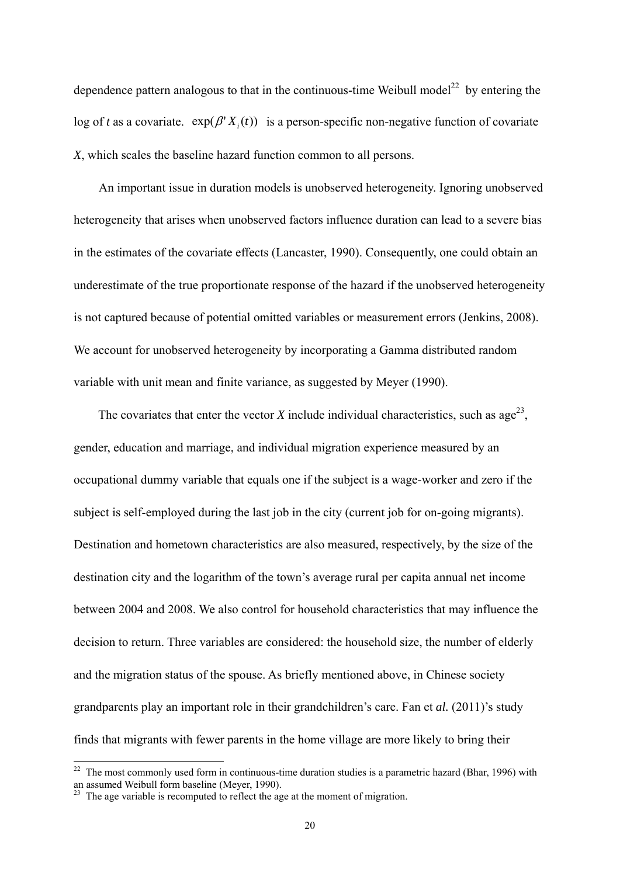dependence pattern analogous to that in the continuous-time Weibull model<sup>22</sup> by entering the log of *t* as a covariate.  $exp(\beta' X_i(t))$  is a person-specific non-negative function of covariate *X*, which scales the baseline hazard function common to all persons.

An important issue in duration models is unobserved heterogeneity. Ignoring unobserved heterogeneity that arises when unobserved factors influence duration can lead to a severe bias in the estimates of the covariate effects (Lancaster, 1990). Consequently, one could obtain an underestimate of the true proportionate response of the hazard if the unobserved heterogeneity is not captured because of potential omitted variables or measurement errors (Jenkins, 2008). We account for unobserved heterogeneity by incorporating a Gamma distributed random variable with unit mean and finite variance, as suggested by Meyer (1990).

The covariates that enter the vector *X* include individual characteristics, such as age<sup>23</sup>, gender, education and marriage, and individual migration experience measured by an occupational dummy variable that equals one if the subject is a wage-worker and zero if the subject is self-employed during the last job in the city (current job for on-going migrants). Destination and hometown characteristics are also measured, respectively, by the size of the destination city and the logarithm of the town's average rural per capita annual net income between 2004 and 2008. We also control for household characteristics that may influence the decision to return. Three variables are considered: the household size, the number of elderly and the migration status of the spouse. As briefly mentioned above, in Chinese society grandparents play an important role in their grandchildren's care. Fan et *al.* (2011)'s study finds that migrants with fewer parents in the home village are more likely to bring their

<sup>&</sup>lt;sup>22</sup> The most commonly used form in continuous-time duration studies is a parametric hazard (Bhar, 1996) with an assumed Weibull form baseline (Meyer, 1990).

<sup>&</sup>lt;sup>23</sup> The age variable is recomputed to reflect the age at the moment of migration.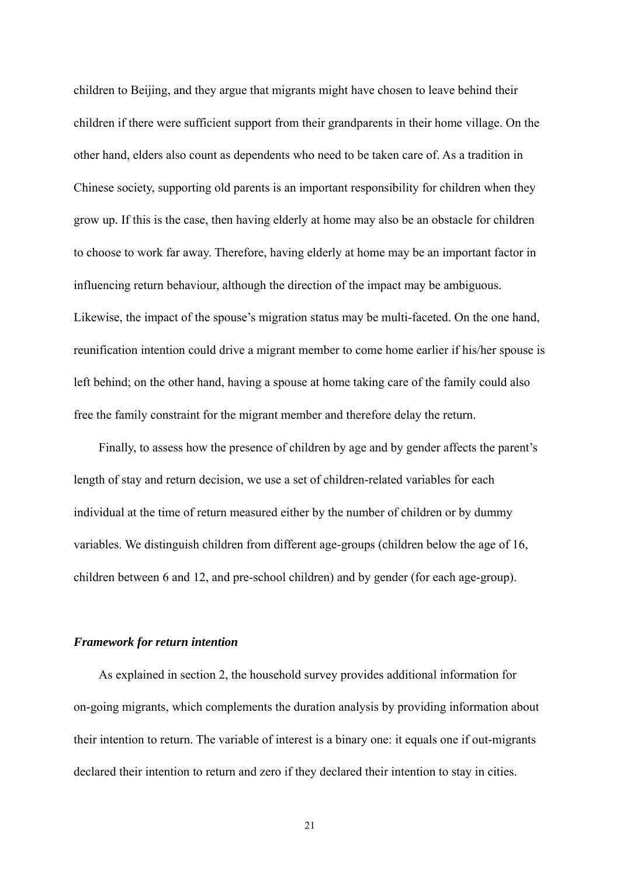children to Beijing, and they argue that migrants might have chosen to leave behind their children if there were sufficient support from their grandparents in their home village. On the other hand, elders also count as dependents who need to be taken care of. As a tradition in Chinese society, supporting old parents is an important responsibility for children when they grow up. If this is the case, then having elderly at home may also be an obstacle for children to choose to work far away. Therefore, having elderly at home may be an important factor in influencing return behaviour, although the direction of the impact may be ambiguous. Likewise, the impact of the spouse's migration status may be multi-faceted. On the one hand, reunification intention could drive a migrant member to come home earlier if his/her spouse is left behind; on the other hand, having a spouse at home taking care of the family could also free the family constraint for the migrant member and therefore delay the return.

Finally, to assess how the presence of children by age and by gender affects the parent's length of stay and return decision, we use a set of children-related variables for each individual at the time of return measured either by the number of children or by dummy variables. We distinguish children from different age-groups (children below the age of 16, children between 6 and 12, and pre-school children) and by gender (for each age-group).

#### *Framework for return intention*

As explained in section 2, the household survey provides additional information for on-going migrants, which complements the duration analysis by providing information about their intention to return. The variable of interest is a binary one: it equals one if out-migrants declared their intention to return and zero if they declared their intention to stay in cities.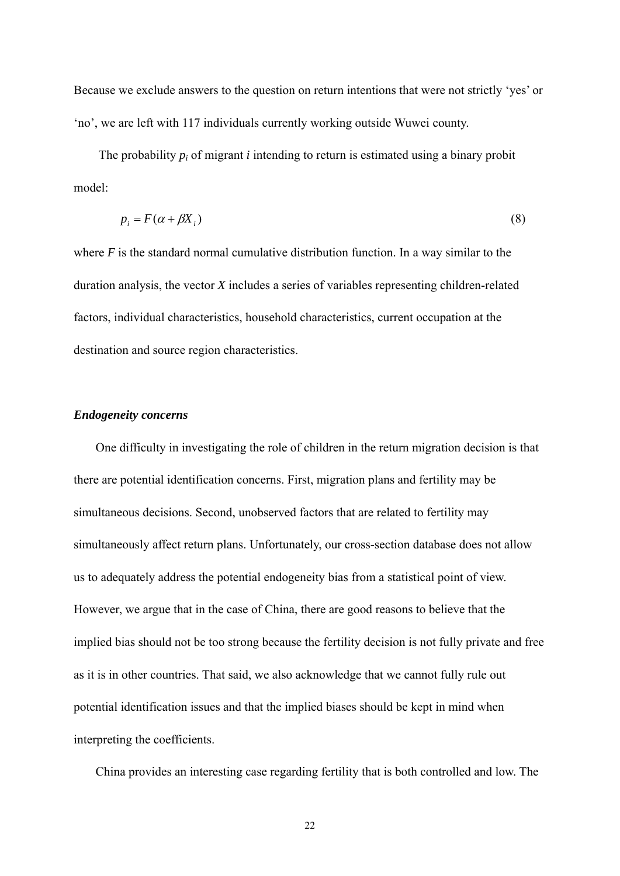Because we exclude answers to the question on return intentions that were not strictly 'yes' or 'no', we are left with 117 individuals currently working outside Wuwei county.

The probability  $p_i$  of migrant *i* intending to return is estimated using a binary probit model:

$$
p_i = F(\alpha + \beta X_i) \tag{8}
$$

where *F* is the standard normal cumulative distribution function. In a way similar to the duration analysis, the vector *X* includes a series of variables representing children-related factors, individual characteristics, household characteristics, current occupation at the destination and source region characteristics.

#### *Endogeneity concerns*

One difficulty in investigating the role of children in the return migration decision is that there are potential identification concerns. First, migration plans and fertility may be simultaneous decisions. Second, unobserved factors that are related to fertility may simultaneously affect return plans. Unfortunately, our cross-section database does not allow us to adequately address the potential endogeneity bias from a statistical point of view. However, we argue that in the case of China, there are good reasons to believe that the implied bias should not be too strong because the fertility decision is not fully private and free as it is in other countries. That said, we also acknowledge that we cannot fully rule out potential identification issues and that the implied biases should be kept in mind when interpreting the coefficients.

China provides an interesting case regarding fertility that is both controlled and low. The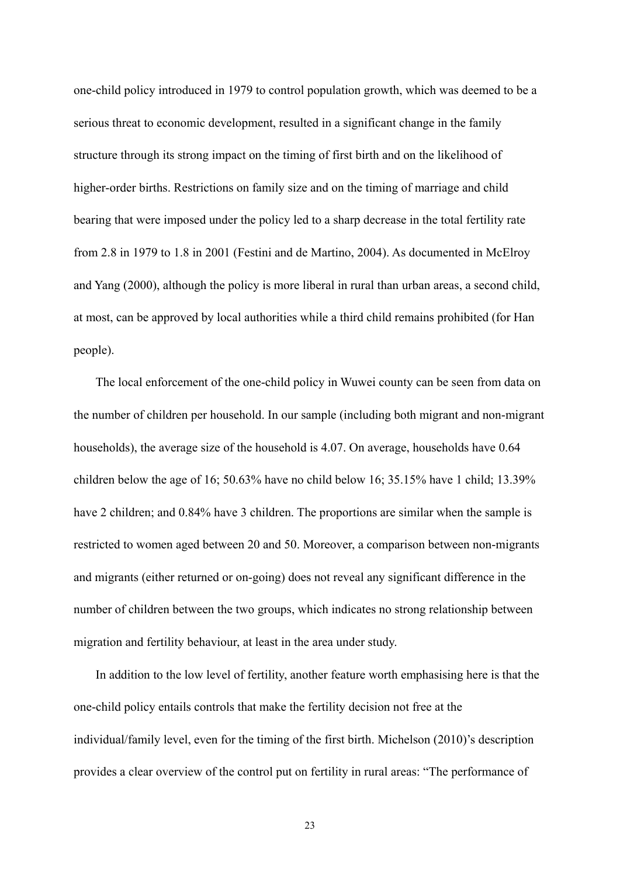one-child policy introduced in 1979 to control population growth, which was deemed to be a serious threat to economic development, resulted in a significant change in the family structure through its strong impact on the timing of first birth and on the likelihood of higher-order births. Restrictions on family size and on the timing of marriage and child bearing that were imposed under the policy led to a sharp decrease in the total fertility rate from 2.8 in 1979 to 1.8 in 2001 (Festini and de Martino, 2004). As documented in McElroy and Yang (2000), although the policy is more liberal in rural than urban areas, a second child, at most, can be approved by local authorities while a third child remains prohibited (for Han people).

The local enforcement of the one-child policy in Wuwei county can be seen from data on the number of children per household. In our sample (including both migrant and non-migrant households), the average size of the household is 4.07. On average, households have 0.64 children below the age of 16; 50.63% have no child below 16; 35.15% have 1 child; 13.39% have 2 children; and 0.84% have 3 children. The proportions are similar when the sample is restricted to women aged between 20 and 50. Moreover, a comparison between non-migrants and migrants (either returned or on-going) does not reveal any significant difference in the number of children between the two groups, which indicates no strong relationship between migration and fertility behaviour, at least in the area under study.

In addition to the low level of fertility, another feature worth emphasising here is that the one-child policy entails controls that make the fertility decision not free at the individual/family level, even for the timing of the first birth. Michelson (2010)'s description provides a clear overview of the control put on fertility in rural areas: "The performance of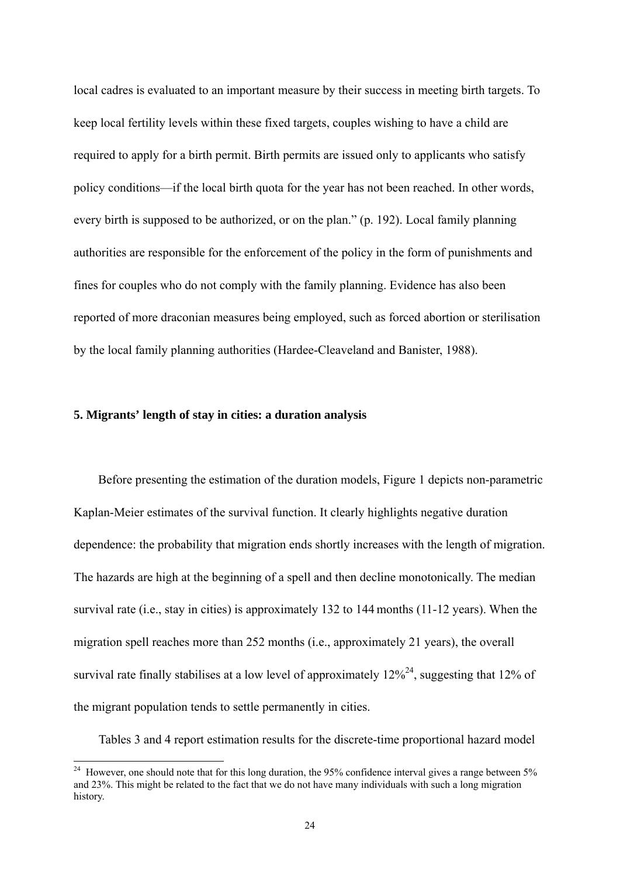local cadres is evaluated to an important measure by their success in meeting birth targets. To keep local fertility levels within these fixed targets, couples wishing to have a child are required to apply for a birth permit. Birth permits are issued only to applicants who satisfy policy conditions—if the local birth quota for the year has not been reached. In other words, every birth is supposed to be authorized, or on the plan." (p. 192). Local family planning authorities are responsible for the enforcement of the policy in the form of punishments and fines for couples who do not comply with the family planning. Evidence has also been reported of more draconian measures being employed, such as forced abortion or sterilisation by the local family planning authorities (Hardee-Cleaveland and Banister, 1988).

#### **5. Migrants' length of stay in cities: a duration analysis**

<u>.</u>

Before presenting the estimation of the duration models, Figure 1 depicts non-parametric Kaplan-Meier estimates of the survival function. It clearly highlights negative duration dependence: the probability that migration ends shortly increases with the length of migration. The hazards are high at the beginning of a spell and then decline monotonically. The median survival rate (i.e., stay in cities) is approximately 132 to 144 months (11-12 years). When the migration spell reaches more than 252 months (i.e., approximately 21 years), the overall survival rate finally stabilises at a low level of approximately  $12\%^{24}$ , suggesting that 12% of the migrant population tends to settle permanently in cities.

Tables 3 and 4 report estimation results for the discrete-time proportional hazard model

<sup>&</sup>lt;sup>24</sup> However, one should note that for this long duration, the 95% confidence interval gives a range between 5% and 23%. This might be related to the fact that we do not have many individuals with such a long migration history.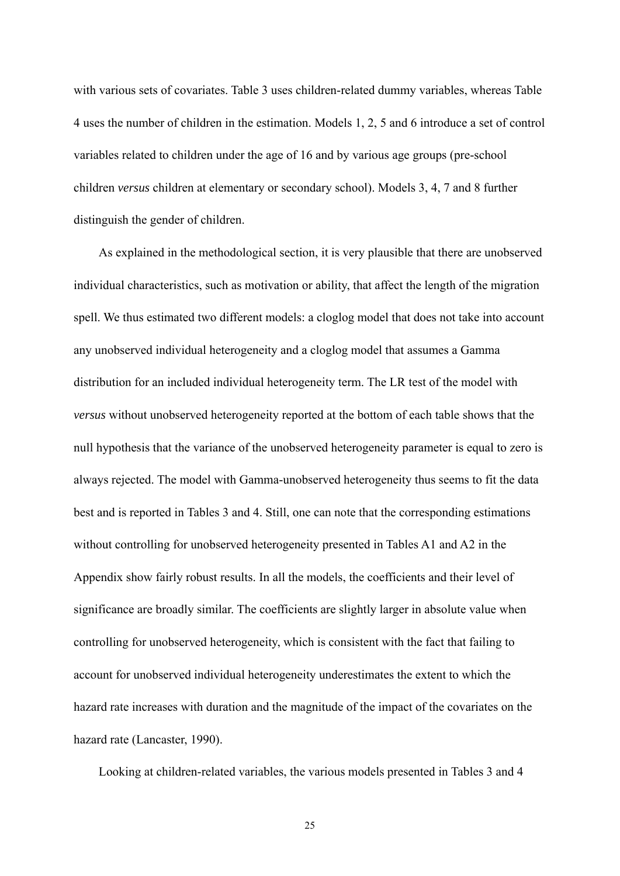with various sets of covariates. Table 3 uses children-related dummy variables, whereas Table 4 uses the number of children in the estimation. Models 1, 2, 5 and 6 introduce a set of control variables related to children under the age of 16 and by various age groups (pre-school children *versus* children at elementary or secondary school). Models 3, 4, 7 and 8 further distinguish the gender of children.

As explained in the methodological section, it is very plausible that there are unobserved individual characteristics, such as motivation or ability, that affect the length of the migration spell. We thus estimated two different models: a cloglog model that does not take into account any unobserved individual heterogeneity and a cloglog model that assumes a Gamma distribution for an included individual heterogeneity term. The LR test of the model with *versus* without unobserved heterogeneity reported at the bottom of each table shows that the null hypothesis that the variance of the unobserved heterogeneity parameter is equal to zero is always rejected. The model with Gamma-unobserved heterogeneity thus seems to fit the data best and is reported in Tables 3 and 4. Still, one can note that the corresponding estimations without controlling for unobserved heterogeneity presented in Tables A1 and A2 in the Appendix show fairly robust results. In all the models, the coefficients and their level of significance are broadly similar. The coefficients are slightly larger in absolute value when controlling for unobserved heterogeneity, which is consistent with the fact that failing to account for unobserved individual heterogeneity underestimates the extent to which the hazard rate increases with duration and the magnitude of the impact of the covariates on the hazard rate (Lancaster, 1990).

Looking at children-related variables, the various models presented in Tables 3 and 4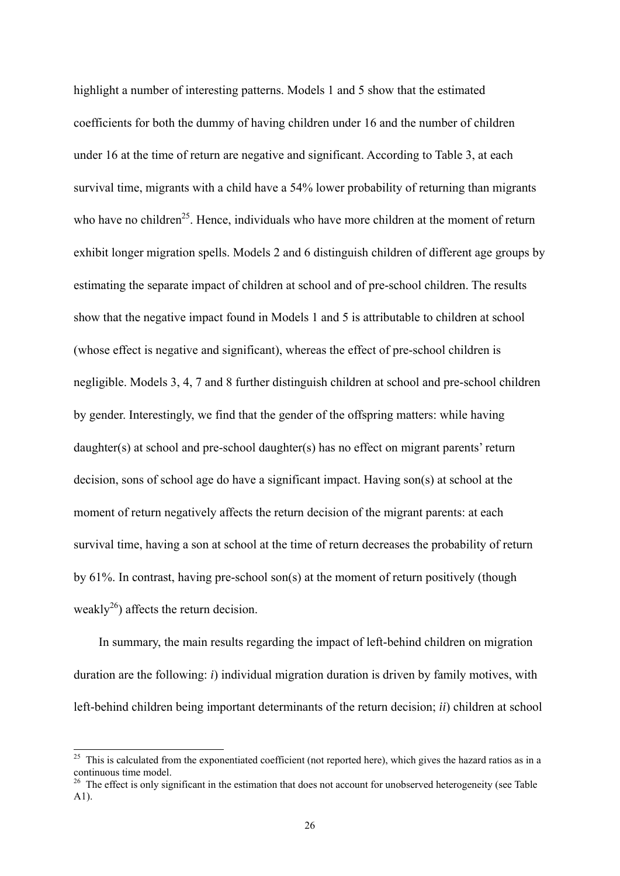highlight a number of interesting patterns. Models 1 and 5 show that the estimated coefficients for both the dummy of having children under 16 and the number of children under 16 at the time of return are negative and significant. According to Table 3, at each survival time, migrants with a child have a 54% lower probability of returning than migrants who have no children<sup>25</sup>. Hence, individuals who have more children at the moment of return exhibit longer migration spells. Models 2 and 6 distinguish children of different age groups by estimating the separate impact of children at school and of pre-school children. The results show that the negative impact found in Models 1 and 5 is attributable to children at school (whose effect is negative and significant), whereas the effect of pre-school children is negligible. Models 3, 4, 7 and 8 further distinguish children at school and pre-school children by gender. Interestingly, we find that the gender of the offspring matters: while having daughter(s) at school and pre-school daughter(s) has no effect on migrant parents' return decision, sons of school age do have a significant impact. Having son(s) at school at the moment of return negatively affects the return decision of the migrant parents: at each survival time, having a son at school at the time of return decreases the probability of return by 61%. In contrast, having pre-school son(s) at the moment of return positively (though weakly<sup>26</sup>) affects the return decision.

In summary, the main results regarding the impact of left-behind children on migration duration are the following: *i*) individual migration duration is driven by family motives, with left-behind children being important determinants of the return decision; *ii*) children at school

-

 $^{25}$  This is calculated from the exponentiated coefficient (not reported here), which gives the hazard ratios as in a continuous time model.

<sup>&</sup>lt;sup>26</sup> The effect is only significant in the estimation that does not account for unobserved heterogeneity (see Table A1).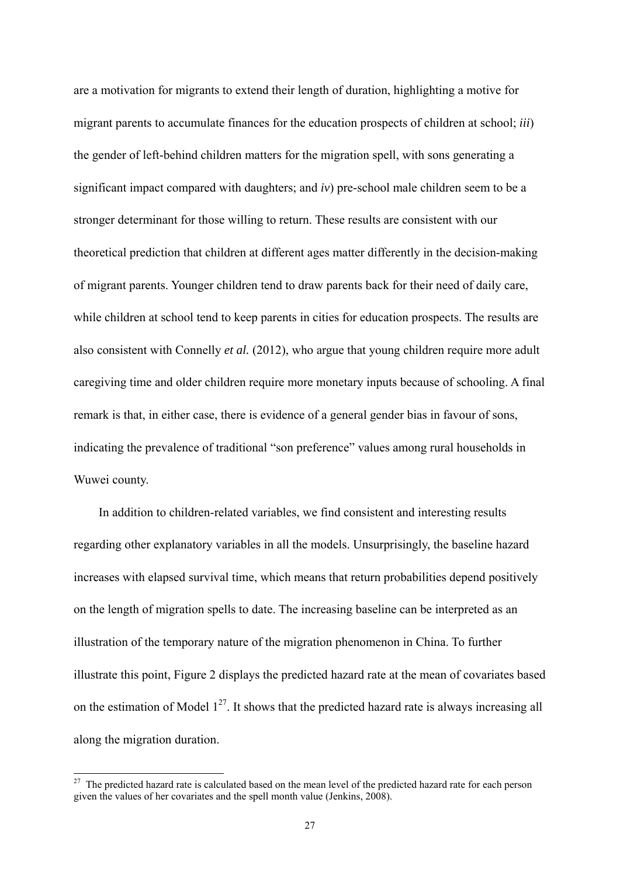are a motivation for migrants to extend their length of duration, highlighting a motive for migrant parents to accumulate finances for the education prospects of children at school; *iii*) the gender of left-behind children matters for the migration spell, with sons generating a significant impact compared with daughters; and *iv*) pre-school male children seem to be a stronger determinant for those willing to return. These results are consistent with our theoretical prediction that children at different ages matter differently in the decision-making of migrant parents. Younger children tend to draw parents back for their need of daily care, while children at school tend to keep parents in cities for education prospects. The results are also consistent with Connelly *et al.* (2012), who argue that young children require more adult caregiving time and older children require more monetary inputs because of schooling. A final remark is that, in either case, there is evidence of a general gender bias in favour of sons, indicating the prevalence of traditional "son preference" values among rural households in Wuwei county.

In addition to children-related variables, we find consistent and interesting results regarding other explanatory variables in all the models. Unsurprisingly, the baseline hazard increases with elapsed survival time, which means that return probabilities depend positively on the length of migration spells to date. The increasing baseline can be interpreted as an illustration of the temporary nature of the migration phenomenon in China. To further illustrate this point, Figure 2 displays the predicted hazard rate at the mean of covariates based on the estimation of Model  $1^{27}$ . It shows that the predicted hazard rate is always increasing all along the migration duration.

<sup>&</sup>lt;sup>27</sup> The predicted hazard rate is calculated based on the mean level of the predicted hazard rate for each person given the values of her covariates and the spell month value (Jenkins, 2008).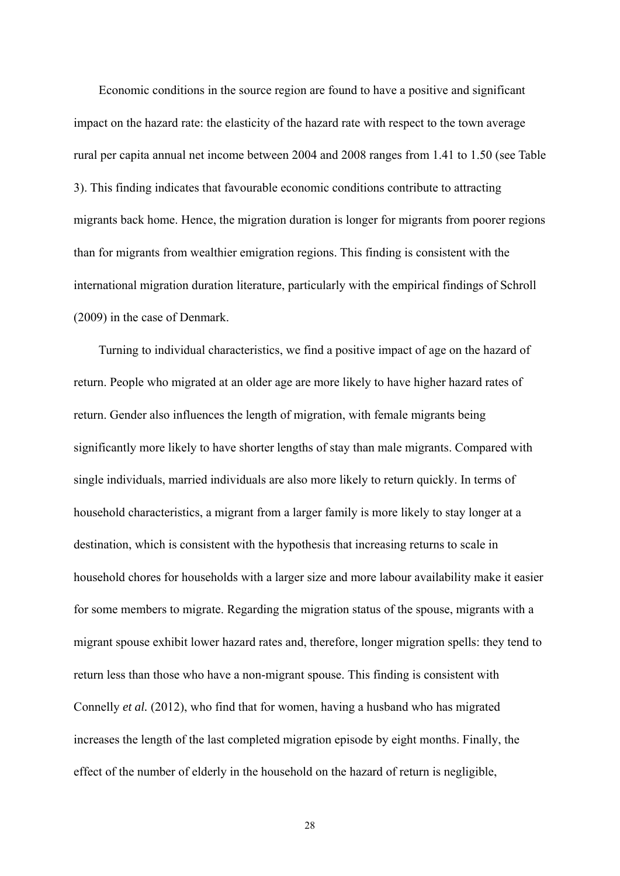Economic conditions in the source region are found to have a positive and significant impact on the hazard rate: the elasticity of the hazard rate with respect to the town average rural per capita annual net income between 2004 and 2008 ranges from 1.41 to 1.50 (see Table 3). This finding indicates that favourable economic conditions contribute to attracting migrants back home. Hence, the migration duration is longer for migrants from poorer regions than for migrants from wealthier emigration regions. This finding is consistent with the international migration duration literature, particularly with the empirical findings of Schroll (2009) in the case of Denmark.

Turning to individual characteristics, we find a positive impact of age on the hazard of return. People who migrated at an older age are more likely to have higher hazard rates of return. Gender also influences the length of migration, with female migrants being significantly more likely to have shorter lengths of stay than male migrants. Compared with single individuals, married individuals are also more likely to return quickly. In terms of household characteristics, a migrant from a larger family is more likely to stay longer at a destination, which is consistent with the hypothesis that increasing returns to scale in household chores for households with a larger size and more labour availability make it easier for some members to migrate. Regarding the migration status of the spouse, migrants with a migrant spouse exhibit lower hazard rates and, therefore, longer migration spells: they tend to return less than those who have a non-migrant spouse. This finding is consistent with Connelly *et al.* (2012), who find that for women, having a husband who has migrated increases the length of the last completed migration episode by eight months. Finally, the effect of the number of elderly in the household on the hazard of return is negligible,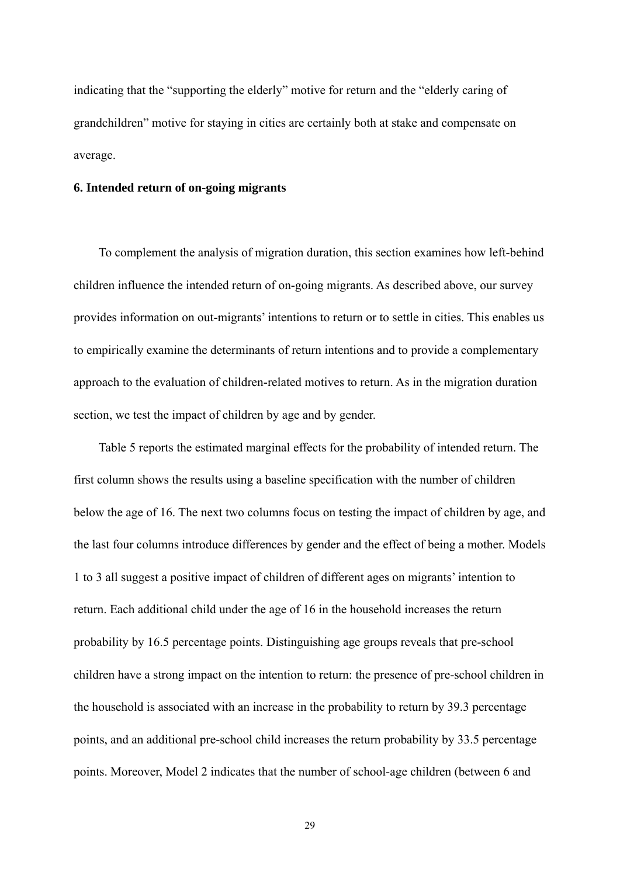indicating that the "supporting the elderly" motive for return and the "elderly caring of grandchildren" motive for staying in cities are certainly both at stake and compensate on average.

#### **6. Intended return of on-going migrants**

To complement the analysis of migration duration, this section examines how left-behind children influence the intended return of on-going migrants. As described above, our survey provides information on out-migrants' intentions to return or to settle in cities. This enables us to empirically examine the determinants of return intentions and to provide a complementary approach to the evaluation of children-related motives to return. As in the migration duration section, we test the impact of children by age and by gender.

Table 5 reports the estimated marginal effects for the probability of intended return. The first column shows the results using a baseline specification with the number of children below the age of 16. The next two columns focus on testing the impact of children by age, and the last four columns introduce differences by gender and the effect of being a mother. Models 1 to 3 all suggest a positive impact of children of different ages on migrants' intention to return. Each additional child under the age of 16 in the household increases the return probability by 16.5 percentage points. Distinguishing age groups reveals that pre-school children have a strong impact on the intention to return: the presence of pre-school children in the household is associated with an increase in the probability to return by 39.3 percentage points, and an additional pre-school child increases the return probability by 33.5 percentage points. Moreover, Model 2 indicates that the number of school-age children (between 6 and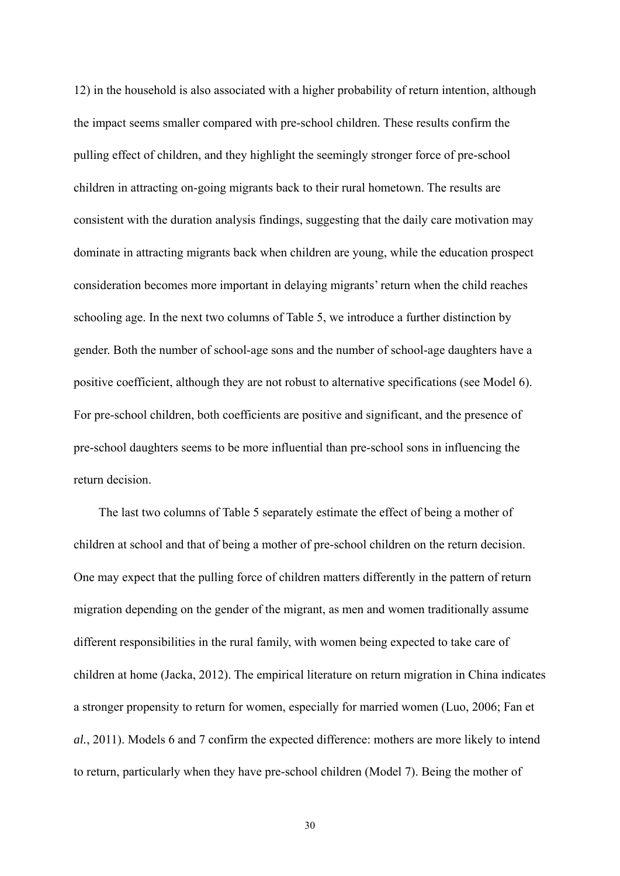12) in the household is also associated with a higher probability of return intention, although the impact seems smaller compared with pre-school children. These results confirm the pulling effect of children, and they highlight the seemingly stronger force of pre-school children in attracting on-going migrants back to their rural hometown. The results are consistent with the duration analysis findings, suggesting that the daily care motivation may dominate in attracting migrants back when children are young, while the education prospect consideration becomes more important in delaying migrants' return when the child reaches schooling age. In the next two columns of Table 5, we introduce a further distinction by gender. Both the number of school-age sons and the number of school-age daughters have a positive coefficient, although they are not robust to alternative specifications (see Model 6). For pre-school children, both coefficients are positive and significant, and the presence of pre-school daughters seems to be more influential than pre-school sons in influencing the return decision.

The last two columns of Table 5 separately estimate the effect of being a mother of children at school and that of being a mother of pre-school children on the return decision. One may expect that the pulling force of children matters differently in the pattern of return migration depending on the gender of the migrant, as men and women traditionally assume different responsibilities in the rural family, with women being expected to take care of children at home (Jacka, 2012). The empirical literature on return migration in China indicates a stronger propensity to return for women, especially for married women (Luo, 2006; Fan et *al.*, 2011). Models 6 and 7 confirm the expected difference: mothers are more likely to intend to return, particularly when they have pre-school children (Model 7). Being the mother of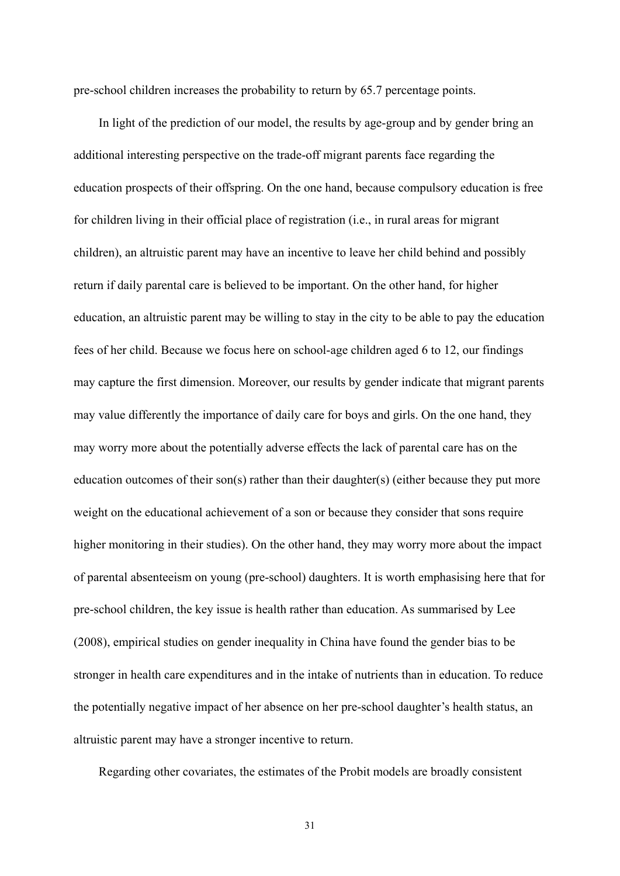pre-school children increases the probability to return by 65.7 percentage points.

In light of the prediction of our model, the results by age-group and by gender bring an additional interesting perspective on the trade-off migrant parents face regarding the education prospects of their offspring. On the one hand, because compulsory education is free for children living in their official place of registration (i.e., in rural areas for migrant children), an altruistic parent may have an incentive to leave her child behind and possibly return if daily parental care is believed to be important. On the other hand, for higher education, an altruistic parent may be willing to stay in the city to be able to pay the education fees of her child. Because we focus here on school-age children aged 6 to 12, our findings may capture the first dimension. Moreover, our results by gender indicate that migrant parents may value differently the importance of daily care for boys and girls. On the one hand, they may worry more about the potentially adverse effects the lack of parental care has on the education outcomes of their son(s) rather than their daughter(s) (either because they put more weight on the educational achievement of a son or because they consider that sons require higher monitoring in their studies). On the other hand, they may worry more about the impact of parental absenteeism on young (pre-school) daughters. It is worth emphasising here that for pre-school children, the key issue is health rather than education. As summarised by Lee (2008), empirical studies on gender inequality in China have found the gender bias to be stronger in health care expenditures and in the intake of nutrients than in education. To reduce the potentially negative impact of her absence on her pre-school daughter's health status, an altruistic parent may have a stronger incentive to return.

Regarding other covariates, the estimates of the Probit models are broadly consistent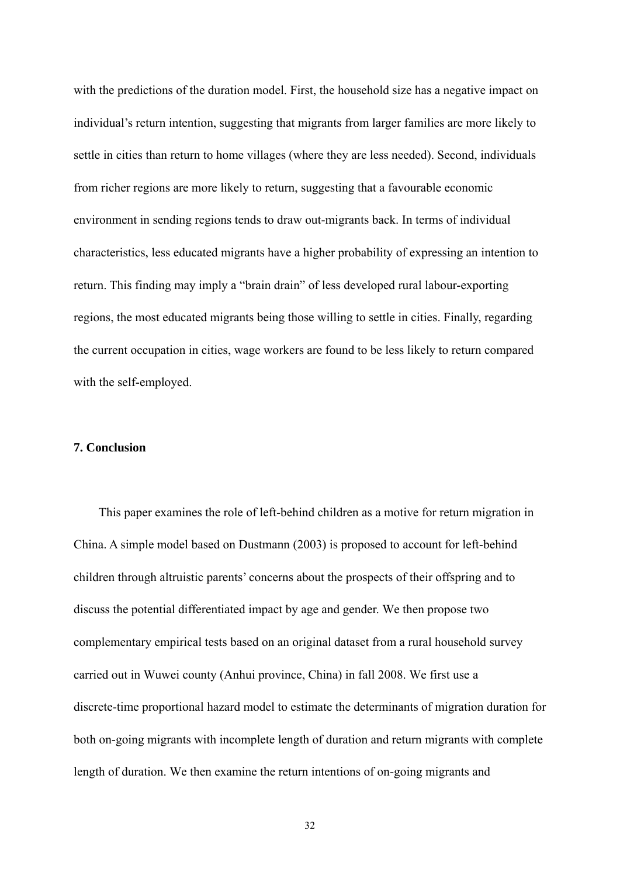with the predictions of the duration model. First, the household size has a negative impact on individual's return intention, suggesting that migrants from larger families are more likely to settle in cities than return to home villages (where they are less needed). Second, individuals from richer regions are more likely to return, suggesting that a favourable economic environment in sending regions tends to draw out-migrants back. In terms of individual characteristics, less educated migrants have a higher probability of expressing an intention to return. This finding may imply a "brain drain" of less developed rural labour-exporting regions, the most educated migrants being those willing to settle in cities. Finally, regarding the current occupation in cities, wage workers are found to be less likely to return compared with the self-employed.

#### **7. Conclusion**

This paper examines the role of left-behind children as a motive for return migration in China. A simple model based on Dustmann (2003) is proposed to account for left-behind children through altruistic parents' concerns about the prospects of their offspring and to discuss the potential differentiated impact by age and gender. We then propose two complementary empirical tests based on an original dataset from a rural household survey carried out in Wuwei county (Anhui province, China) in fall 2008. We first use a discrete-time proportional hazard model to estimate the determinants of migration duration for both on-going migrants with incomplete length of duration and return migrants with complete length of duration. We then examine the return intentions of on-going migrants and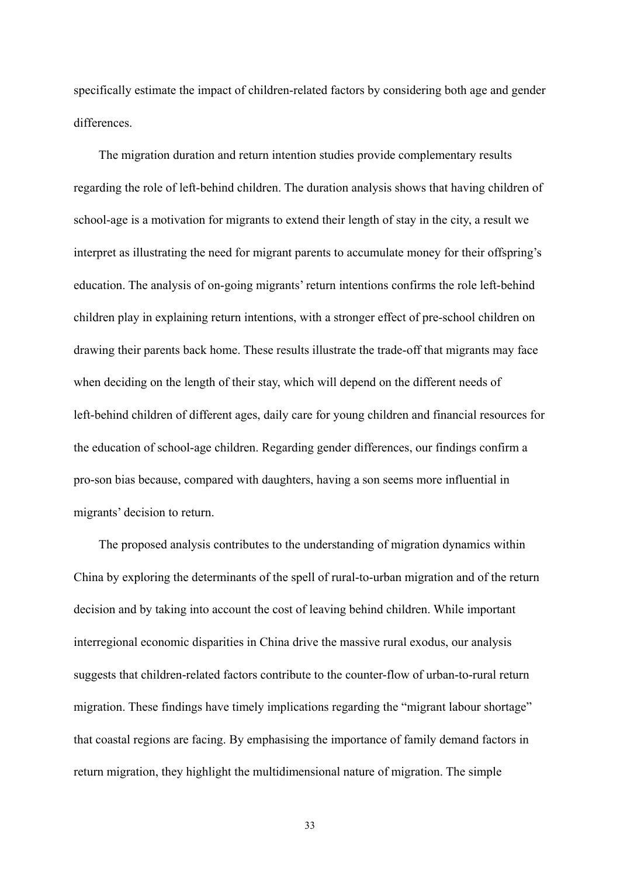specifically estimate the impact of children-related factors by considering both age and gender differences.

The migration duration and return intention studies provide complementary results regarding the role of left-behind children. The duration analysis shows that having children of school-age is a motivation for migrants to extend their length of stay in the city, a result we interpret as illustrating the need for migrant parents to accumulate money for their offspring's education. The analysis of on-going migrants' return intentions confirms the role left-behind children play in explaining return intentions, with a stronger effect of pre-school children on drawing their parents back home. These results illustrate the trade-off that migrants may face when deciding on the length of their stay, which will depend on the different needs of left-behind children of different ages, daily care for young children and financial resources for the education of school-age children. Regarding gender differences, our findings confirm a pro-son bias because, compared with daughters, having a son seems more influential in migrants' decision to return.

The proposed analysis contributes to the understanding of migration dynamics within China by exploring the determinants of the spell of rural-to-urban migration and of the return decision and by taking into account the cost of leaving behind children. While important interregional economic disparities in China drive the massive rural exodus, our analysis suggests that children-related factors contribute to the counter-flow of urban-to-rural return migration. These findings have timely implications regarding the "migrant labour shortage" that coastal regions are facing. By emphasising the importance of family demand factors in return migration, they highlight the multidimensional nature of migration. The simple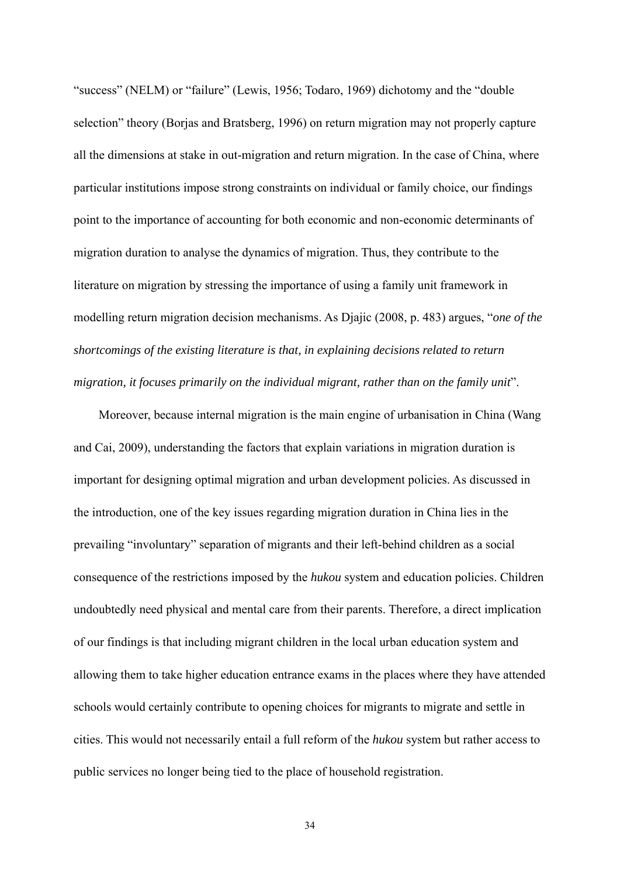"success" (NELM) or "failure" (Lewis, 1956; Todaro, 1969) dichotomy and the "double selection" theory (Borjas and Bratsberg, 1996) on return migration may not properly capture all the dimensions at stake in out-migration and return migration. In the case of China, where particular institutions impose strong constraints on individual or family choice, our findings point to the importance of accounting for both economic and non-economic determinants of migration duration to analyse the dynamics of migration. Thus, they contribute to the literature on migration by stressing the importance of using a family unit framework in modelling return migration decision mechanisms. As Djajic (2008, p. 483) argues, "*one of the shortcomings of the existing literature is that, in explaining decisions related to return migration, it focuses primarily on the individual migrant, rather than on the family unit*".

Moreover, because internal migration is the main engine of urbanisation in China (Wang and Cai, 2009), understanding the factors that explain variations in migration duration is important for designing optimal migration and urban development policies. As discussed in the introduction, one of the key issues regarding migration duration in China lies in the prevailing "involuntary" separation of migrants and their left-behind children as a social consequence of the restrictions imposed by the *hukou* system and education policies. Children undoubtedly need physical and mental care from their parents. Therefore, a direct implication of our findings is that including migrant children in the local urban education system and allowing them to take higher education entrance exams in the places where they have attended schools would certainly contribute to opening choices for migrants to migrate and settle in cities. This would not necessarily entail a full reform of the *hukou* system but rather access to public services no longer being tied to the place of household registration.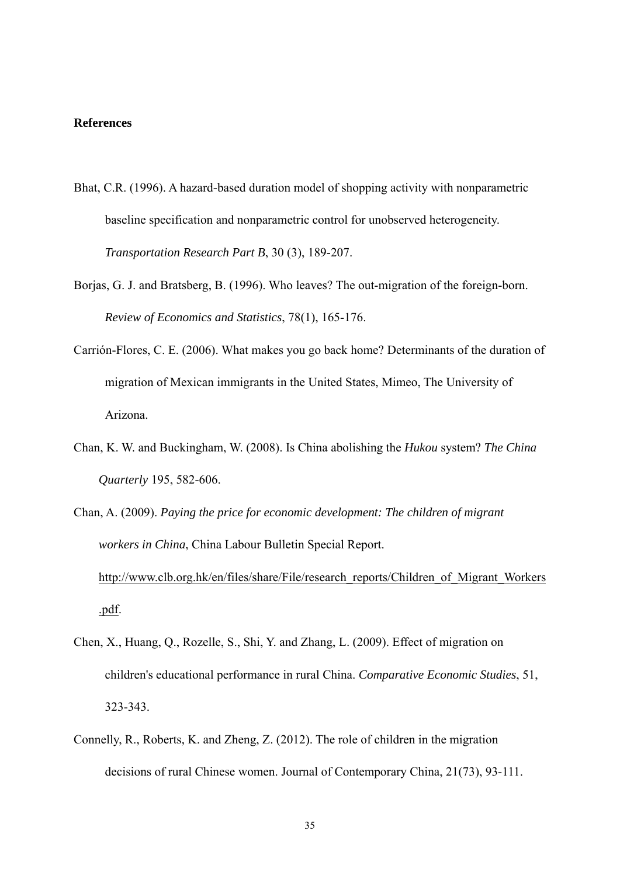#### **References**

- Bhat, C.R. (1996). A hazard-based duration model of shopping activity with nonparametric baseline specification and nonparametric control for unobserved heterogeneity. *Transportation Research Part B*, 30 (3), 189-207.
- Borjas, G. J. and Bratsberg, B. (1996). Who leaves? The out-migration of the foreign-born. *Review of Economics and Statistics*, 78(1), 165-176.
- Carrión-Flores, C. E. (2006). What makes you go back home? Determinants of the duration of migration of Mexican immigrants in the United States, Mimeo, The University of Arizona.
- Chan, K. W. and Buckingham, W. (2008). Is China abolishing the *Hukou* system? *The China Quarterly* 195, 582-606.
- Chan, A. (2009). *Paying the price for economic development: The children of migrant workers in China*, China Labour Bulletin Special Report. http://www.clb.org.hk/en/files/share/File/research\_reports/Children\_of\_Migrant\_Workers .pdf.
- Chen, X., Huang, Q., Rozelle, S., Shi, Y. and Zhang, L. (2009). Effect of migration on children's educational performance in rural China. *Comparative Economic Studies*, 51, 323-343.
- Connelly, R., Roberts, K. and Zheng, Z. (2012). The role of children in the migration decisions of rural Chinese women. Journal of Contemporary China, 21(73), 93-111.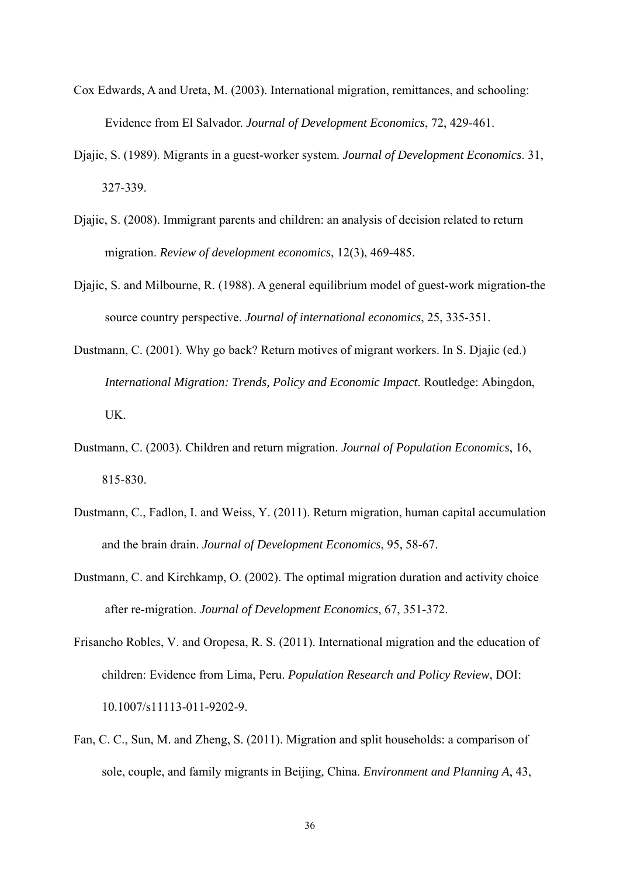- Cox Edwards, A and Ureta, M. (2003). International migration, remittances, and schooling: Evidence from El Salvador. *Journal of Development Economics*, 72, 429-461.
- Djajic, S. (1989). Migrants in a guest-worker system. *Journal of Development Economics*. 31, 327-339.
- Djajic, S. (2008). Immigrant parents and children: an analysis of decision related to return migration. *Review of development economics*, 12(3), 469-485.
- Djajic, S. and Milbourne, R. (1988). A general equilibrium model of guest-work migration-the source country perspective. *Journal of international economics*, 25, 335-351.
- Dustmann, C. (2001). Why go back? Return motives of migrant workers. In S. Djajic (ed.) *International Migration: Trends, Policy and Economic Impact*. Routledge: Abingdon, UK.
- Dustmann, C. (2003). Children and return migration. *Journal of Population Economics*, 16, 815-830.
- Dustmann, C., Fadlon, I. and Weiss, Y. (2011). Return migration, human capital accumulation and the brain drain. *Journal of Development Economics*, 95, 58-67.
- Dustmann, C. and Kirchkamp, O. (2002). The optimal migration duration and activity choice after re-migration. *Journal of Development Economics*, 67, 351-372.
- Frisancho Robles, V. and Oropesa, R. S. (2011). International migration and the education of children: Evidence from Lima, Peru. *Population Research and Policy Review*, DOI: 10.1007/s11113-011-9202-9.
- Fan, C. C., Sun, M. and Zheng, S. (2011). Migration and split households: a comparison of sole, couple, and family migrants in Beijing, China. *Environment and Planning A*, 43,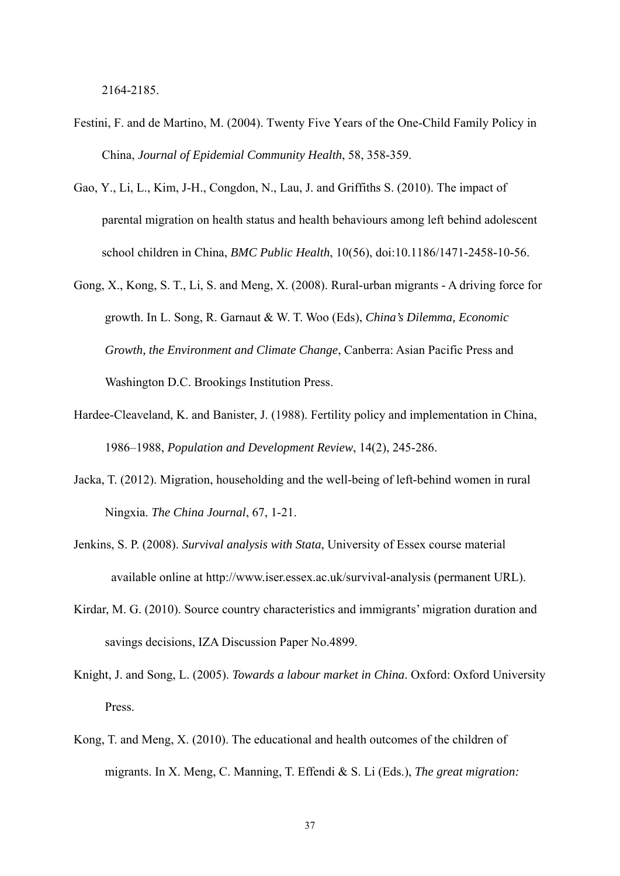2164-2185.

- Festini, F. and de Martino, M. (2004). Twenty Five Years of the One-Child Family Policy in China, *Journal of Epidemial Community Health*, 58, 358-359.
- Gao, Y., Li, L., Kim, J-H., Congdon, N., Lau, J. and Griffiths S. (2010). The impact of parental migration on health status and health behaviours among left behind adolescent school children in China, *BMC Public Health*, 10(56), doi:10.1186/1471-2458-10-56.
- Gong, X., Kong, S. T., Li, S. and Meng, X. (2008). Rural-urban migrants A driving force for growth. In L. Song, R. Garnaut & W. T. Woo (Eds), *China's Dilemma, Economic Growth, the Environment and Climate Change*, Canberra: Asian Pacific Press and Washington D.C. Brookings Institution Press.
- Hardee-Cleaveland, K. and Banister, J. (1988). Fertility policy and implementation in China, 1986–1988, *Population and Development Review*, 14(2), 245-286.
- Jacka, T. (2012). Migration, householding and the well-being of left-behind women in rural Ningxia. *The China Journal*, 67, 1-21.
- Jenkins, S. P. (2008). *Survival analysis with Stata*, University of Essex course material available online at http://www.iser.essex.ac.uk/survival-analysis (permanent URL).
- Kirdar, M. G. (2010). Source country characteristics and immigrants' migration duration and savings decisions, IZA Discussion Paper No.4899.
- Knight, J. and Song, L. (2005). *Towards a labour market in China*. Oxford: Oxford University Press.
- Kong, T. and Meng, X. (2010). The educational and health outcomes of the children of migrants. In X. Meng, C. Manning, T. Effendi & S. Li (Eds.), *The great migration:*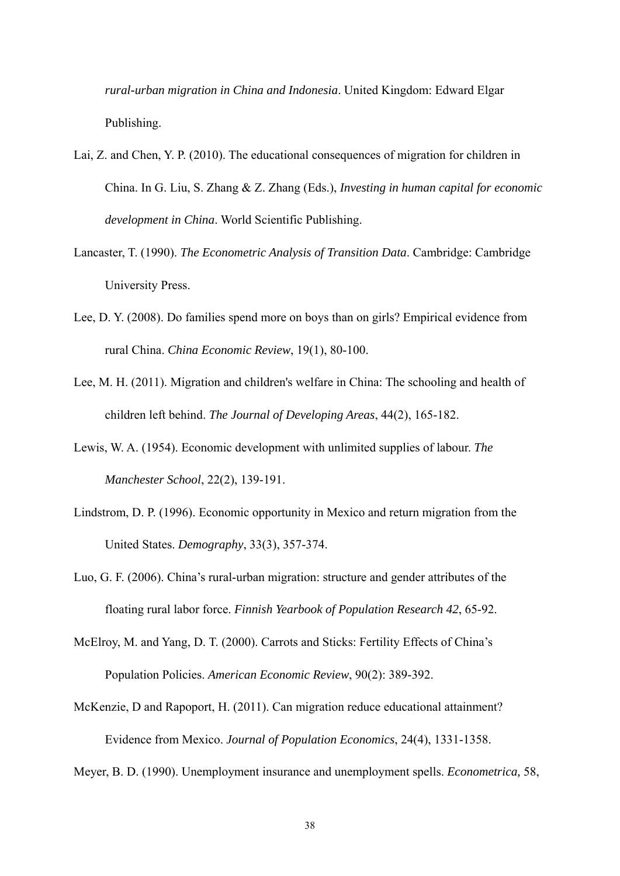*rural-urban migration in China and Indonesia*. United Kingdom: Edward Elgar Publishing.

- Lai, Z. and Chen, Y. P. (2010). The educational consequences of migration for children in China. In G. Liu, S. Zhang & Z. Zhang (Eds.), *Investing in human capital for economic development in China*. World Scientific Publishing.
- Lancaster, T. (1990). *The Econometric Analysis of Transition Data*. Cambridge: Cambridge University Press.
- Lee, D. Y. (2008). Do families spend more on boys than on girls? Empirical evidence from rural China. *China Economic Review*, 19(1), 80-100.
- Lee, M. H. (2011). Migration and children's welfare in China: The schooling and health of children left behind. *The Journal of Developing Areas*, 44(2), 165-182.
- Lewis, W. A. (1954). Economic development with unlimited supplies of labour. *The Manchester School*, 22(2), 139-191.
- Lindstrom, D. P. (1996). Economic opportunity in Mexico and return migration from the United States. *Demography*, 33(3), 357-374.
- Luo, G. F. (2006). China's rural-urban migration: structure and gender attributes of the floating rural labor force. *Finnish Yearbook of Population Research 42*, 65-92.
- McElroy, M. and Yang, D. T. (2000). Carrots and Sticks: Fertility Effects of China's Population Policies. *American Economic Review*, 90(2): 389-392.
- McKenzie, D and Rapoport, H. (2011). Can migration reduce educational attainment? Evidence from Mexico. *Journal of Population Economics*, 24(4), 1331-1358.

Meyer, B. D. (1990). Unemployment insurance and unemployment spells. *Econometrica,* 58,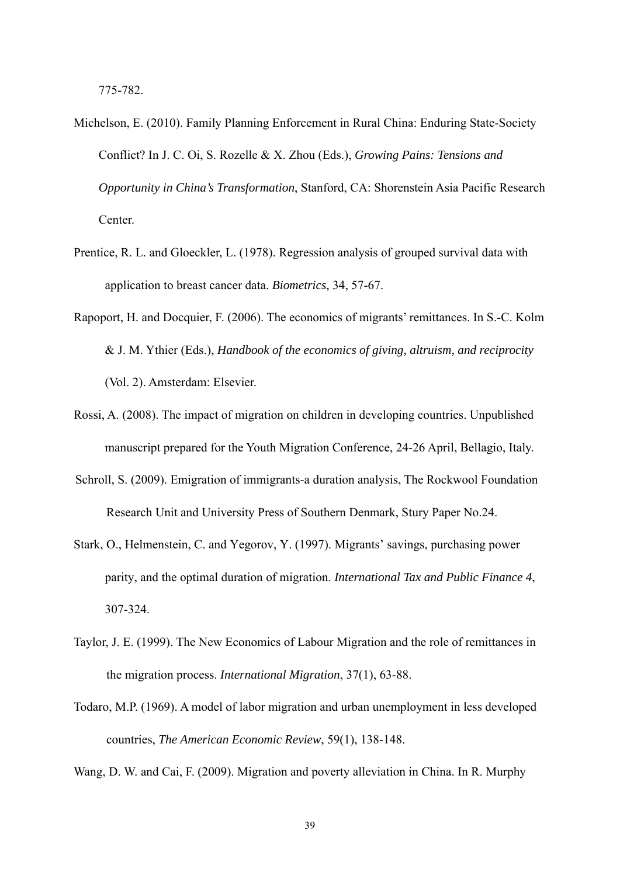775-782.

- Michelson, E. (2010). Family Planning Enforcement in Rural China: Enduring State-Society Conflict? In J. C. Oi, S. Rozelle & X. Zhou (Eds.), *Growing Pains: Tensions and Opportunity in China's Transformation*, Stanford, CA: Shorenstein Asia Pacific Research Center.
- Prentice, R. L. and Gloeckler, L. (1978). Regression analysis of grouped survival data with application to breast cancer data. *Biometrics*, 34, 57-67.
- Rapoport, H. and Docquier, F. (2006). The economics of migrants' remittances. In S.-C. Kolm & J. M. Ythier (Eds.), *Handbook of the economics of giving, altruism, and reciprocity* (Vol. 2). Amsterdam: Elsevier.
- Rossi, A. (2008). The impact of migration on children in developing countries. Unpublished manuscript prepared for the Youth Migration Conference, 24-26 April, Bellagio, Italy.
- Schroll, S. (2009). Emigration of immigrants-a duration analysis, The Rockwool Foundation Research Unit and University Press of Southern Denmark, Stury Paper No.24.
- Stark, O., Helmenstein, C. and Yegorov, Y. (1997). Migrants' savings, purchasing power parity, and the optimal duration of migration. *International Tax and Public Finance 4*, 307-324.
- Taylor, J. E. (1999). The New Economics of Labour Migration and the role of remittances in the migration process. *International Migration*, 37(1), 63-88.
- Todaro, M.P. (1969). A model of labor migration and urban unemployment in less developed countries, *The American Economic Review*, 59(1), 138-148.

Wang, D. W. and Cai, F. (2009). Migration and poverty alleviation in China. In R. Murphy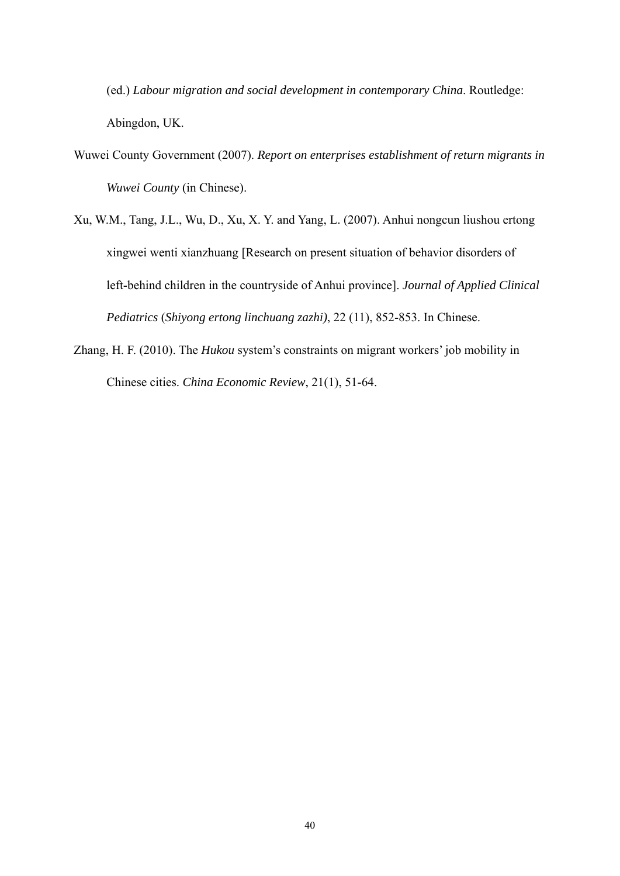(ed.) *Labour migration and social development in contemporary China*. Routledge: Abingdon, UK.

- Wuwei County Government (2007). *Report on enterprises establishment of return migrants in Wuwei County* (in Chinese).
- Xu, W.M., Tang, J.L., Wu, D., Xu, X. Y. and Yang, L. (2007). Anhui nongcun liushou ertong xingwei wenti xianzhuang [Research on present situation of behavior disorders of left-behind children in the countryside of Anhui province]. *Journal of Applied Clinical Pediatrics* (*Shiyong ertong linchuang zazhi)*, 22 (11), 852-853. In Chinese.
- Zhang, H. F. (2010). The *Hukou* system's constraints on migrant workers' job mobility in Chinese cities. *China Economic Review*, 21(1), 51-64.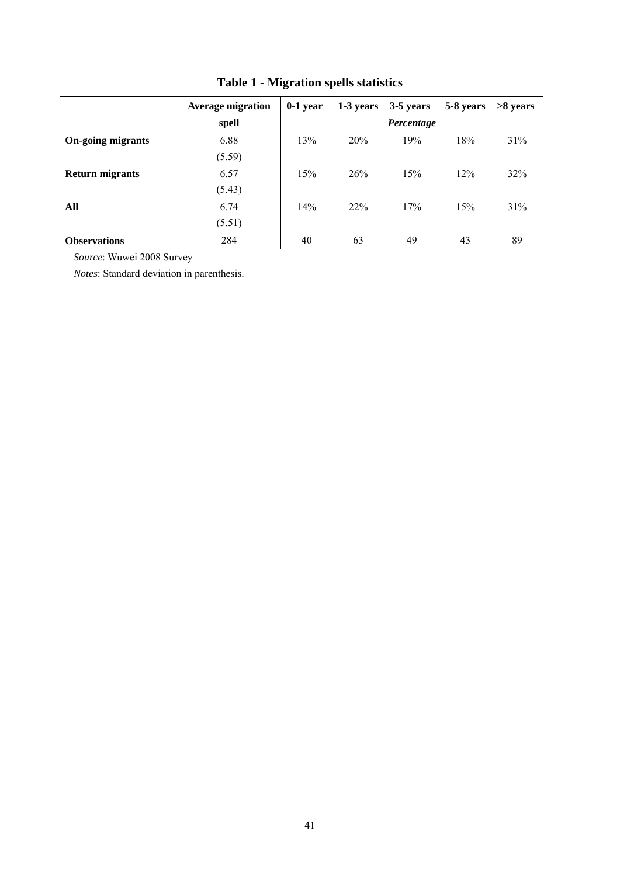|                          | <b>Average migration</b> | $0-1$ year | 1-3 years | 3-5 years  | 5-8 years | $>8$ vears |
|--------------------------|--------------------------|------------|-----------|------------|-----------|------------|
|                          | spell                    |            |           | Percentage |           |            |
| <b>On-going migrants</b> | 6.88                     | 13%        | 20%       | 19%        | 18%       | 31%        |
|                          | (5.59)                   |            |           |            |           |            |
| <b>Return migrants</b>   | 6.57                     | 15%        | 26%       | 15%        | 12%       | 32%        |
|                          | (5.43)                   |            |           |            |           |            |
| All                      | 6.74                     | 14%        | 22%       | 17%        | 15%       | 31%        |
|                          | (5.51)                   |            |           |            |           |            |
| <b>Observations</b>      | 284                      | 40         | 63        | 49         | 43        | 89         |

# **Table 1 - Migration spells statistics**

*Source*: Wuwei 2008 Survey

*Notes*: Standard deviation in parenthesis.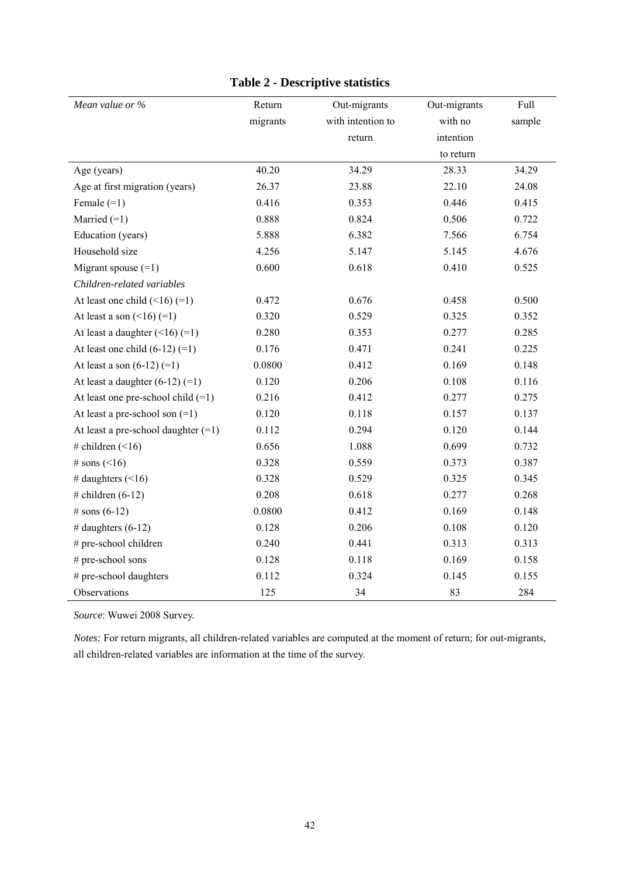| Mean value or %                       | Return   | Out-migrants      | Out-migrants | Full   |
|---------------------------------------|----------|-------------------|--------------|--------|
|                                       | migrants | with intention to | with no      | sample |
|                                       |          | return            | intention    |        |
|                                       |          |                   | to return    |        |
| Age (years)                           | 40.20    | 34.29             | 28.33        | 34.29  |
| Age at first migration (years)        | 26.37    | 23.88             | 22.10        | 24.08  |
| Female $(=1)$                         | 0.416    | 0.353             | 0.446        | 0.415  |
| Married $(=1)$                        | 0.888    | 0.824             | 0.506        | 0.722  |
| Education (years)                     | 5.888    | 6.382             | 7.566        | 6.754  |
| Household size                        | 4.256    | 5.147             | 5.145        | 4.676  |
| Migrant spouse $(=1)$                 | 0.600    | 0.618             | 0.410        | 0.525  |
| Children-related variables            |          |                   |              |        |
| At least one child $(\leq 16)$ (=1)   | 0.472    | 0.676             | 0.458        | 0.500  |
| At least a son $($ < 16) $(=1)$       | 0.320    | 0.529             | 0.325        | 0.352  |
| At least a daughter $(\leq16)$ (=1)   | 0.280    | 0.353             | 0.277        | 0.285  |
| At least one child $(6-12)$ $(=1)$    | 0.176    | 0.471             | 0.241        | 0.225  |
| At least a son $(6-12)$ $(=1)$        | 0.0800   | 0.412             | 0.169        | 0.148  |
| At least a daughter $(6-12)$ $(=1)$   | 0.120    | 0.206             | 0.108        | 0.116  |
| At least one pre-school child $(=1)$  | 0.216    | 0.412             | 0.277        | 0.275  |
| At least a pre-school son $(=1)$      | 0.120    | 0.118             | 0.157        | 0.137  |
| At least a pre-school daughter $(=1)$ | 0.112    | 0.294             | 0.120        | 0.144  |
| # children $($ < 16)                  | 0.656    | 1.088             | 0.699        | 0.732  |
| # sons $($ < 16)                      | 0.328    | 0.559             | 0.373        | 0.387  |
| # daughters $($ < 16)                 | 0.328    | 0.529             | 0.325        | 0.345  |
| # children $(6-12)$                   | 0.208    | 0.618             | 0.277        | 0.268  |
| # sons $(6-12)$                       | 0.0800   | 0.412             | 0.169        | 0.148  |
| # daughters $(6-12)$                  | 0.128    | 0.206             | 0.108        | 0.120  |
| # pre-school children                 | 0.240    | 0.441             | 0.313        | 0.313  |
| # pre-school sons                     | 0.128    | 0.118             | 0.169        | 0.158  |
| # pre-school daughters                | 0.112    | 0.324             | 0.145        | 0.155  |
| Observations                          | 125      | 34                | 83           | 284    |

### **Table 2 - Descriptive statistics**

*Source*: Wuwei 2008 Survey.

*Notes:* For return migrants, all children-related variables are computed at the moment of return; for out-migrants, all children-related variables are information at the time of the survey.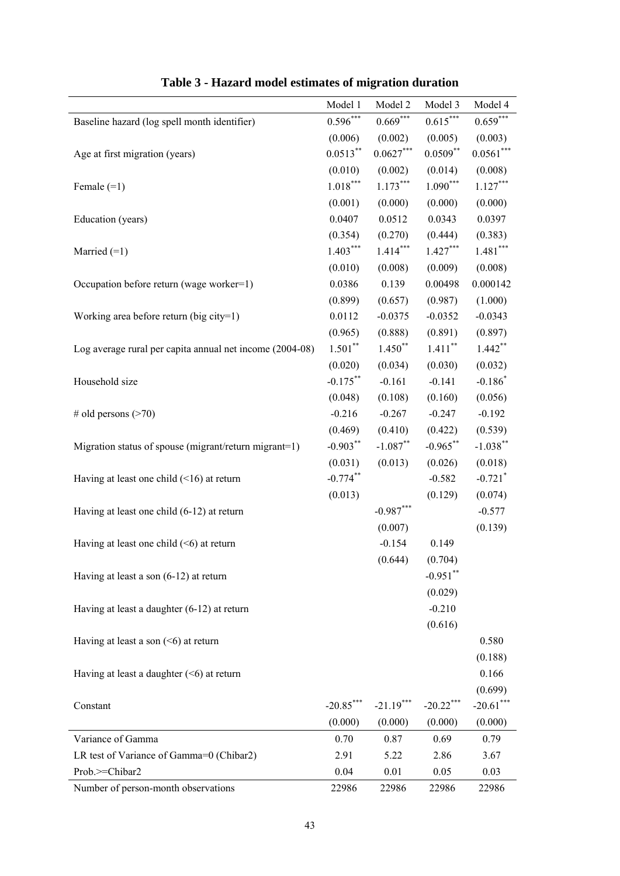|                                                          | Model 1     | Model 2     | Model 3     | Model 4               |
|----------------------------------------------------------|-------------|-------------|-------------|-----------------------|
| Baseline hazard (log spell month identifier)             | $0.596***$  | $0.669***$  | $0.615***$  | $0.659***$            |
|                                                          | (0.006)     | (0.002)     | (0.005)     | (0.003)               |
| Age at first migration (years)                           | $0.0513***$ | $0.0627***$ | $0.0509***$ | $0.0561***$           |
|                                                          | (0.010)     | (0.002)     | (0.014)     | (0.008)               |
| Female $(=1)$                                            | $1.018***$  | $1.173***$  | $1.090***$  | $1.127***$            |
|                                                          | (0.001)     | (0.000)     | (0.000)     | (0.000)               |
| Education (years)                                        | 0.0407      | 0.0512      | 0.0343      | 0.0397                |
|                                                          | (0.354)     | (0.270)     | (0.444)     | (0.383)               |
| Married $(=1)$                                           | $1.403***$  | $1.414***$  | $1.427***$  | $1.481***$            |
|                                                          | (0.010)     | (0.008)     | (0.009)     | (0.008)               |
| Occupation before return (wage worker=1)                 | 0.0386      | 0.139       | 0.00498     | 0.000142              |
|                                                          | (0.899)     | (0.657)     | (0.987)     | (1.000)               |
| Working area before return (big city=1)                  | 0.0112      | $-0.0375$   | $-0.0352$   | $-0.0343$             |
|                                                          | (0.965)     | (0.888)     | (0.891)     | (0.897)               |
| Log average rural per capita annual net income (2004-08) | $1.501***$  | $1.450**$   | $1.411***$  | $1.442**$             |
|                                                          | (0.020)     | (0.034)     | (0.030)     | (0.032)               |
| Household size                                           | $-0.175***$ | $-0.161$    | $-0.141$    | $-0.186*$             |
|                                                          | (0.048)     | (0.108)     | (0.160)     | (0.056)               |
| # old persons $($ >70)                                   | $-0.216$    | $-0.267$    | $-0.247$    | $-0.192$              |
|                                                          | (0.469)     | (0.410)     | (0.422)     | (0.539)               |
| Migration status of spouse (migrant/return migrant=1)    | $-0.903***$ | $-1.087$ ** | $-0.965***$ | $-1.038***$           |
|                                                          | (0.031)     | (0.013)     | (0.026)     | (0.018)               |
| Having at least one child $(\leq 16)$ at return          | $-0.774***$ |             | $-0.582$    | $-0.721$ <sup>*</sup> |
|                                                          | (0.013)     |             | (0.129)     | (0.074)               |
| Having at least one child (6-12) at return               |             | $-0.987***$ |             | $-0.577$              |
|                                                          |             | (0.007)     |             | (0.139)               |
| Having at least one child $(<$ 6) at return              |             | $-0.154$    | 0.149       |                       |
|                                                          |             | (0.644)     | (0.704)     |                       |
| Having at least a son $(6-12)$ at return                 |             |             | $-0.951$ ** |                       |
|                                                          |             |             | (0.029)     |                       |
| Having at least a daughter (6-12) at return              |             |             | $-0.210$    |                       |
|                                                          |             |             | (0.616)     |                       |
| Having at least a son $(5)$ at return                    |             |             |             | 0.580                 |
|                                                          |             |             |             | (0.188)               |
| Having at least a daughter $(6)$ at return               |             |             |             | 0.166                 |
|                                                          |             |             |             | (0.699)               |
| Constant                                                 | $-20.85***$ | $-21.19***$ | $-20.22***$ | $-20.61$ ***          |
|                                                          | (0.000)     | (0.000)     | (0.000)     | (0.000)               |
| Variance of Gamma                                        | 0.70        | 0.87        | 0.69        | 0.79                  |
| LR test of Variance of Gamma=0 (Chibar2)                 | 2.91        | 5.22        | 2.86        | 3.67                  |
| Prob.>=Chibar2                                           | 0.04        | 0.01        | 0.05        | 0.03                  |
| Number of person-month observations                      | 22986       | 22986       | 22986       | 22986                 |

**Table 3 - Hazard model estimates of migration duration**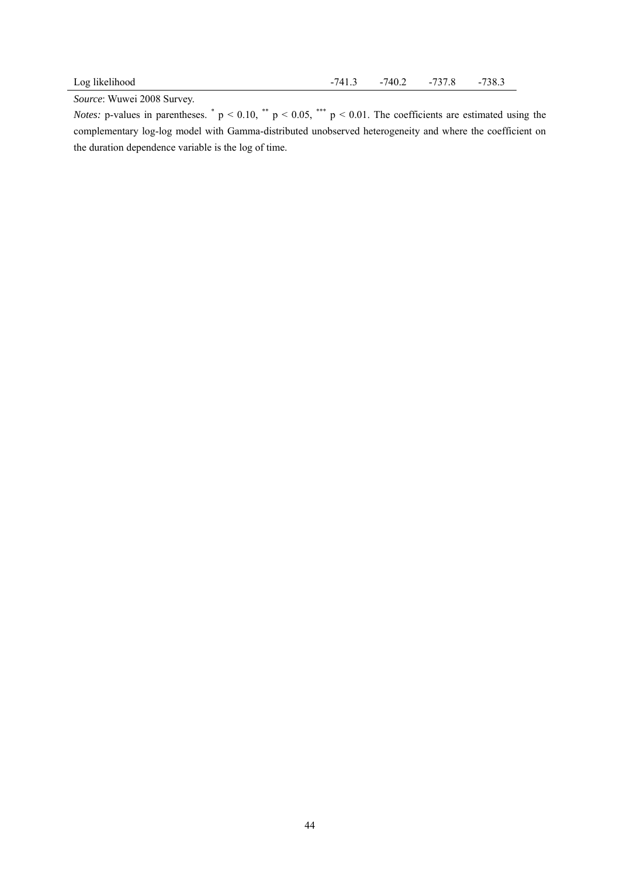*Source*: Wuwei 2008 Survey.

*Notes:* p-values in parentheses.  $p < 0.10$ ,  $p < 0.05$ ,  $p < 0.01$ . The coefficients are estimated using the complementary log-log model with Gamma-distributed unobserved heterogeneity and where the coefficient on the duration dependence variable is the log of time.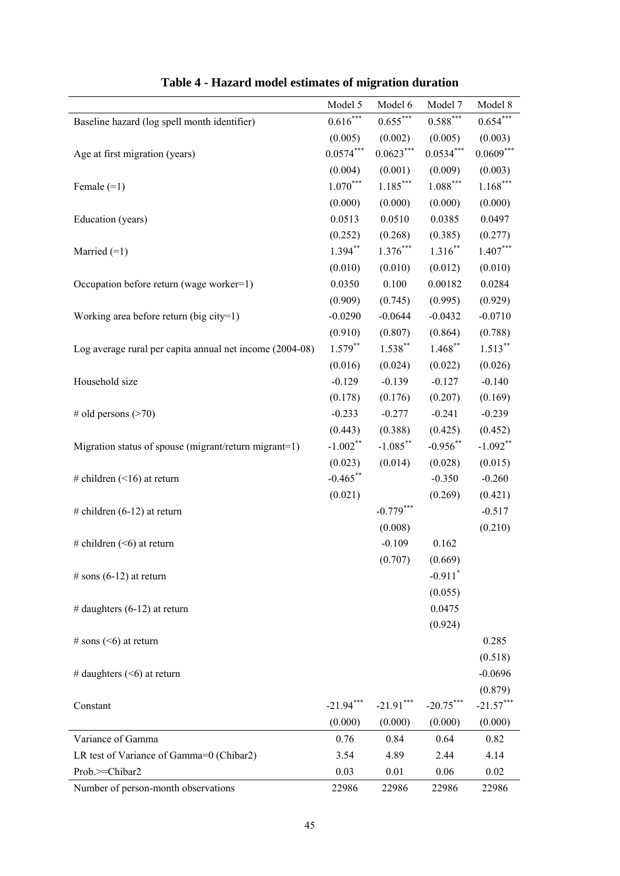|                                                          | Model 5     | Model 6     | Model 7                      | Model 8     |
|----------------------------------------------------------|-------------|-------------|------------------------------|-------------|
| Baseline hazard (log spell month identifier)             | $0.616***$  | $0.655***$  | $0.588***$                   | $0.654***$  |
|                                                          | (0.005)     | (0.002)     | (0.005)                      | (0.003)     |
| Age at first migration (years)                           | $0.0574***$ | $0.0623***$ | $0.0534***$                  | $0.0609***$ |
|                                                          | (0.004)     | (0.001)     | (0.009)                      | (0.003)     |
| Female $(=1)$                                            | $1.070***$  | $1.185***$  | $\left. 1.088\right. ^{***}$ | $1.168***$  |
|                                                          | (0.000)     | (0.000)     | (0.000)                      | (0.000)     |
| Education (years)                                        | 0.0513      | 0.0510      | 0.0385                       | 0.0497      |
|                                                          | (0.252)     | (0.268)     | (0.385)                      | (0.277)     |
| Married $(=1)$                                           | $1.394***$  | $1.376***$  | $1.316$ **                   | $1.407***$  |
|                                                          | (0.010)     | (0.010)     | (0.012)                      | (0.010)     |
| Occupation before return (wage worker=1)                 | 0.0350      | 0.100       | 0.00182                      | 0.0284      |
|                                                          | (0.909)     | (0.745)     | (0.995)                      | (0.929)     |
| Working area before return (big city=1)                  | $-0.0290$   | $-0.0644$   | $-0.0432$                    | $-0.0710$   |
|                                                          | (0.910)     | (0.807)     | (0.864)                      | (0.788)     |
| Log average rural per capita annual net income (2004-08) | $1.579***$  | $1.538***$  | $1.468$ **                   | $1.513***$  |
|                                                          | (0.016)     | (0.024)     | (0.022)                      | (0.026)     |
| Household size                                           | $-0.129$    | $-0.139$    | $-0.127$                     | $-0.140$    |
|                                                          | (0.178)     | (0.176)     | (0.207)                      | (0.169)     |
| # old persons $($ >70)                                   | $-0.233$    | $-0.277$    | $-0.241$                     | $-0.239$    |
|                                                          | (0.443)     | (0.388)     | (0.425)                      | (0.452)     |
| Migration status of spouse (migrant/return migrant=1)    | $-1.002$ ** | $-1.085***$ | $-0.956$ **                  | $-1.092**$  |
|                                                          | (0.023)     | (0.014)     | (0.028)                      | (0.015)     |
| # children $($ < 16) at return                           | $-0.465$ ** |             | $-0.350$                     | $-0.260$    |
|                                                          | (0.021)     |             | (0.269)                      | (0.421)     |
| # children $(6-12)$ at return                            |             | $-0.779***$ |                              | $-0.517$    |
|                                                          |             | (0.008)     |                              | (0.210)     |
| # children $($ <6) at return                             |             | $-0.109$    | 0.162                        |             |
|                                                          |             | (0.707)     | (0.669)                      |             |
| # sons $(6-12)$ at return                                |             |             | $-0.911$ <sup>*</sup>        |             |
|                                                          |             |             | (0.055)                      |             |
| # daughters $(6-12)$ at return                           |             |             | 0.0475                       |             |
|                                                          |             |             | (0.924)                      |             |
| # sons $($ <6) at return                                 |             |             |                              | 0.285       |
|                                                          |             |             |                              | (0.518)     |
| # daughters $(<$ 6) at return                            |             |             |                              | $-0.0696$   |
|                                                          |             |             |                              | (0.879)     |
| Constant                                                 | $-21.94***$ | $-21.91***$ | $-20.75***$                  | $-21.57***$ |
|                                                          | (0.000)     | (0.000)     | (0.000)                      | (0.000)     |
| Variance of Gamma                                        | 0.76        | 0.84        | 0.64                         | 0.82        |
| LR test of Variance of Gamma=0 (Chibar2)                 | 3.54        | 4.89        | 2.44                         | 4.14        |
| Prob.>=Chibar2                                           | 0.03        | 0.01        | 0.06                         | 0.02        |
| Number of person-month observations                      | 22986       | 22986       | 22986                        | 22986       |

**Table 4 - Hazard model estimates of migration duration**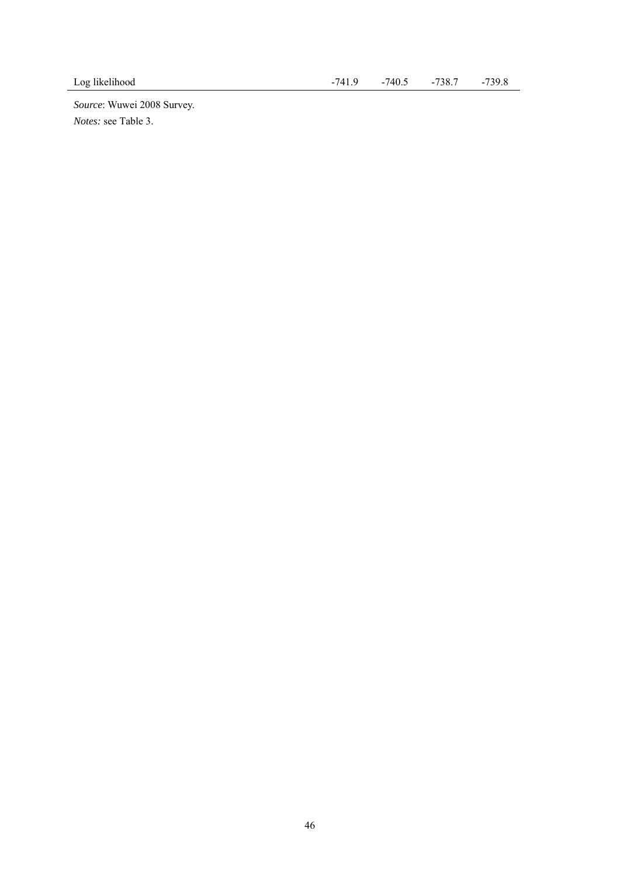*Source*: Wuwei 2008 Survey. *Notes:* see Table 3.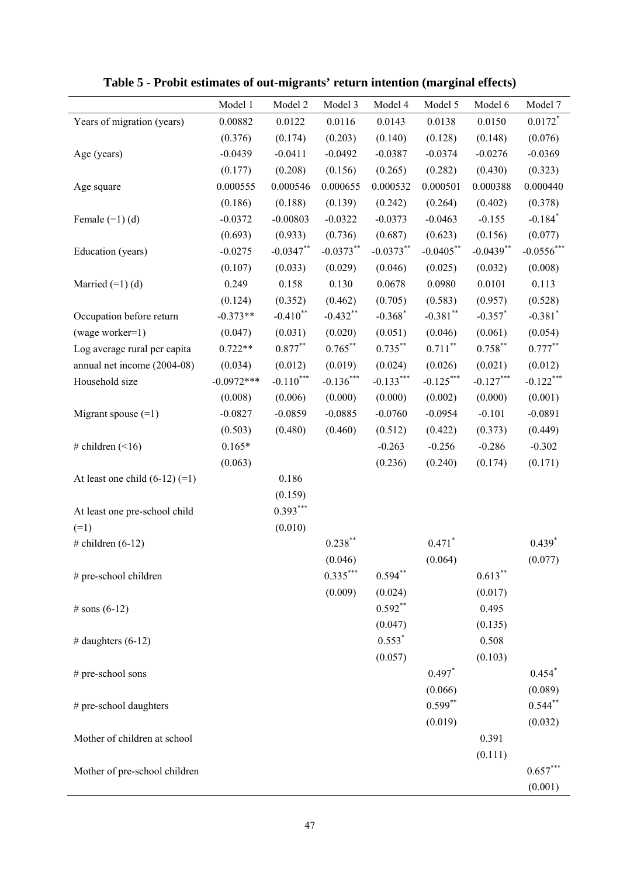|                                    | Model 1      | Model 2      | Model 3     | Model 4     | Model 5      | Model 6     | Model 7               |
|------------------------------------|--------------|--------------|-------------|-------------|--------------|-------------|-----------------------|
| Years of migration (years)         | 0.00882      | 0.0122       | 0.0116      | 0.0143      | 0.0138       | 0.0150      | $0.0172$ <sup>*</sup> |
|                                    | (0.376)      | (0.174)      | (0.203)     | (0.140)     | (0.128)      | (0.148)     | (0.076)               |
| Age (years)                        | $-0.0439$    | $-0.0411$    | $-0.0492$   | $-0.0387$   | $-0.0374$    | $-0.0276$   | $-0.0369$             |
|                                    | (0.177)      | (0.208)      | (0.156)     | (0.265)     | (0.282)      | (0.430)     | (0.323)               |
| Age square                         | 0.000555     | 0.000546     | 0.000655    | 0.000532    | 0.000501     | 0.000388    | 0.000440              |
|                                    | (0.186)      | (0.188)      | (0.139)     | (0.242)     | (0.264)      | (0.402)     | (0.378)               |
| Female $(=1)$ (d)                  | $-0.0372$    | $-0.00803$   | $-0.0322$   | $-0.0373$   | $-0.0463$    | $-0.155$    | $-0.184$ <sup>*</sup> |
|                                    | (0.693)      | (0.933)      | (0.736)     | (0.687)     | (0.623)      | (0.156)     | (0.077)               |
| Education (years)                  | $-0.0275$    | $-0.0347$ ** | $-0.0373**$ | $-0.0373**$ | $-0.0405$ ** | $-0.0439**$ | $-0.0556$ ***         |
|                                    | (0.107)      | (0.033)      | (0.029)     | (0.046)     | (0.025)      | (0.032)     | (0.008)               |
| Married $(=1)$ (d)                 | 0.249        | 0.158        | 0.130       | 0.0678      | 0.0980       | 0.0101      | 0.113                 |
|                                    | (0.124)      | (0.352)      | (0.462)     | (0.705)     | (0.583)      | (0.957)     | (0.528)               |
| Occupation before return           | $-0.373**$   | $-0.410$ **  | $-0.432$ ** | $-0.368*$   | $-0.381$ **  | $-0.357$ *  | $-0.381$ <sup>*</sup> |
| (wage worker=1)                    | (0.047)      | (0.031)      | (0.020)     | (0.051)     | (0.046)      | (0.061)     | (0.054)               |
| Log average rural per capita       | $0.722**$    | $0.877***$   | $0.765***$  | $0.735***$  | $0.711***$   | $0.758***$  | $0.777***$            |
| annual net income (2004-08)        | (0.034)      | (0.012)      | (0.019)     | (0.024)     | (0.026)      | (0.021)     | (0.012)               |
| Household size                     | $-0.0972***$ | $-0.110***$  | $-0.136***$ | $-0.133***$ | $-0.125***$  | $-0.127***$ | $-0.122***$           |
|                                    | (0.008)      | (0.006)      | (0.000)     | (0.000)     | (0.002)      | (0.000)     | (0.001)               |
| Migrant spouse $(=1)$              | $-0.0827$    | $-0.0859$    | $-0.0885$   | $-0.0760$   | $-0.0954$    | $-0.101$    | $-0.0891$             |
|                                    | (0.503)      | (0.480)      | (0.460)     | (0.512)     | (0.422)      | (0.373)     | (0.449)               |
| # children $($ < 16)               | $0.165*$     |              |             | $-0.263$    | $-0.256$     | $-0.286$    | $-0.302$              |
|                                    | (0.063)      |              |             | (0.236)     | (0.240)      | (0.174)     | (0.171)               |
| At least one child $(6-12)$ $(=1)$ |              | 0.186        |             |             |              |             |                       |
|                                    |              | (0.159)      |             |             |              |             |                       |
| At least one pre-school child      |              | $0.393***$   |             |             |              |             |                       |
| $(=1)$                             |              | (0.010)      |             |             |              |             |                       |
| # children $(6-12)$                |              |              | $0.238***$  |             | $0.471$ *    |             | $0.439*$              |
|                                    |              |              | (0.046)     |             | (0.064)      |             | (0.077)               |
| # pre-school children              |              |              | $0.335***$  | $0.594**$   |              | $0.613***$  |                       |
|                                    |              |              | (0.009)     | (0.024)     |              | (0.017)     |                       |
| # sons $(6-12)$                    |              |              |             | $0.592**$   |              | 0.495       |                       |
|                                    |              |              |             | (0.047)     |              | (0.135)     |                       |
| # daughters $(6-12)$               |              |              |             | $0.553*$    |              | 0.508       |                       |
|                                    |              |              |             | (0.057)     |              | (0.103)     |                       |
| # pre-school sons                  |              |              |             |             | $0.497*$     |             | $0.454$ <sup>*</sup>  |
|                                    |              |              |             |             | (0.066)      |             | (0.089)               |
| # pre-school daughters             |              |              |             |             | $0.599**$    |             | $0.544***$            |
|                                    |              |              |             |             | (0.019)      |             | (0.032)               |
| Mother of children at school       |              |              |             |             |              | 0.391       |                       |
|                                    |              |              |             |             |              | (0.111)     |                       |
| Mother of pre-school children      |              |              |             |             |              |             | $0.657***$            |
|                                    |              |              |             |             |              |             | (0.001)               |

**Table 5 - Probit estimates of out-migrants' return intention (marginal effects)** 

l, l.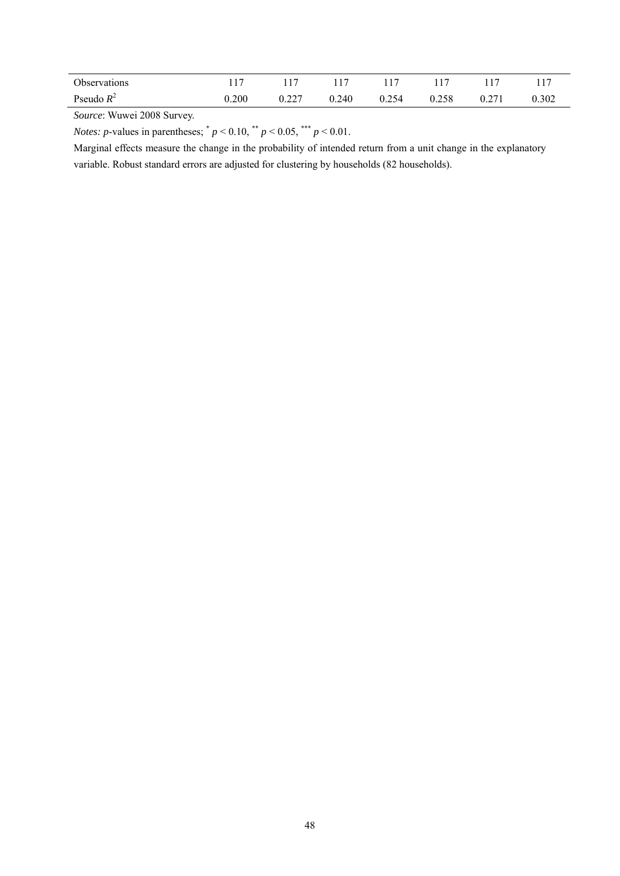| Observations | 1 <sub>7</sub> |               |       |       |                       |                |                       |
|--------------|----------------|---------------|-------|-------|-----------------------|----------------|-----------------------|
| Pseudo $R^2$ | 0.200          | 0.227<br>0.44 | 0.240 | 0.254 | 0.258<br>$\mathbf{0}$ | $\sim$<br>0.27 | 0.302<br>$\mathbf{0}$ |

*Source*: Wuwei 2008 Survey.

*Notes: p*-values in parentheses;  $p < 0.10$ ,  $p < 0.05$ ,  $p < 0.01$ .

Marginal effects measure the change in the probability of intended return from a unit change in the explanatory variable. Robust standard errors are adjusted for clustering by households (82 households).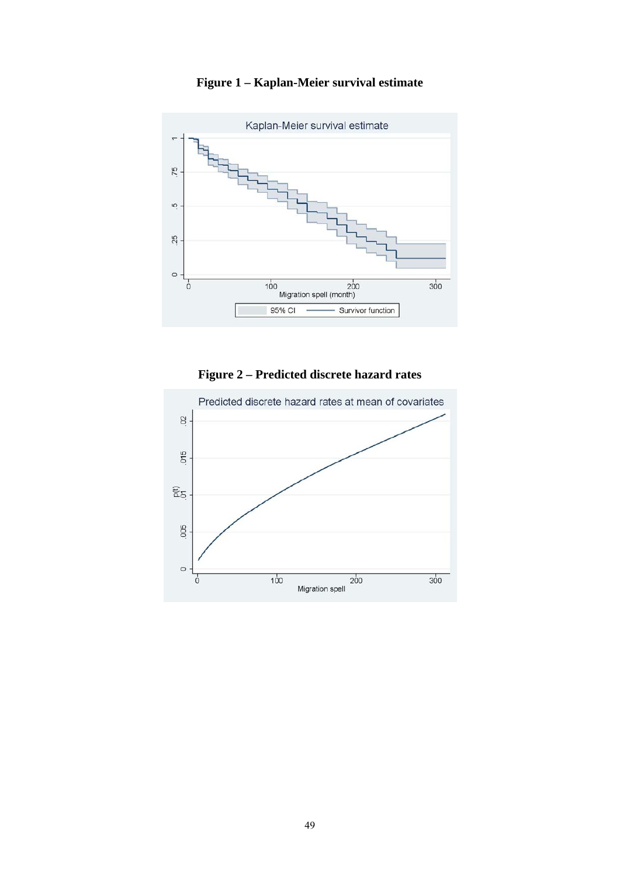

**Figure 1 – Kaplan-Meier survival estimate** 

**Figure 2 – Predicted discrete hazard rates** 

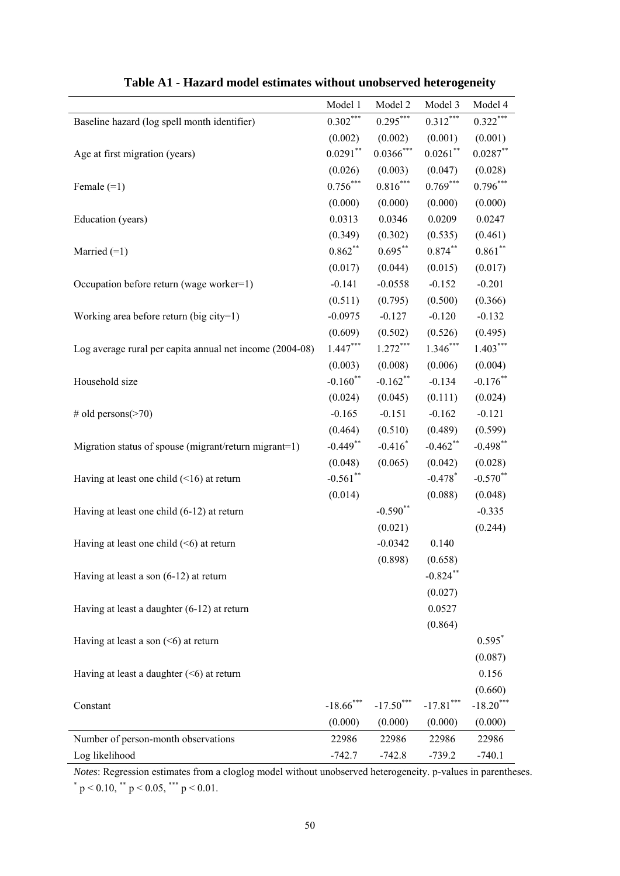|                                                          | Model 1      | Model 2      | Model 3               | Model 4     |
|----------------------------------------------------------|--------------|--------------|-----------------------|-------------|
| Baseline hazard (log spell month identifier)             | $0.302***$   | $0.295***$   | $0.312***$            | $0.322***$  |
|                                                          | (0.002)      | (0.002)      | (0.001)               | (0.001)     |
| Age at first migration (years)                           | $0.0291***$  | $0.0366$ *** | $0.0261$ **           | $0.0287**$  |
|                                                          | (0.026)      | (0.003)      | (0.047)               | (0.028)     |
| Female $(=1)$                                            | $0.756***$   | $0.816***$   | $0.769***$            | $0.796***$  |
|                                                          | (0.000)      | (0.000)      | (0.000)               | (0.000)     |
| Education (years)                                        | 0.0313       | 0.0346       | 0.0209                | 0.0247      |
|                                                          | (0.349)      | (0.302)      | (0.535)               | (0.461)     |
| Married $(=1)$                                           | $0.862***$   | $0.695***$   | $0.874***$            | $0.861**$   |
|                                                          | (0.017)      | (0.044)      | (0.015)               | (0.017)     |
| Occupation before return (wage worker=1)                 | $-0.141$     | $-0.0558$    | $-0.152$              | $-0.201$    |
|                                                          | (0.511)      | (0.795)      | (0.500)               | (0.366)     |
| Working area before return (big city=1)                  | $-0.0975$    | $-0.127$     | $-0.120$              | $-0.132$    |
|                                                          | (0.609)      | (0.502)      | (0.526)               | (0.495)     |
| Log average rural per capita annual net income (2004-08) | $1.447***$   | $1.272***$   | $1.346***$            | $1.403***$  |
|                                                          | (0.003)      | (0.008)      | (0.006)               | (0.004)     |
| Household size                                           | $-0.160$ **  | $-0.162$ **  | $-0.134$              | $-0.176$ ** |
|                                                          | (0.024)      | (0.045)      | (0.111)               | (0.024)     |
| # old persons $($ >70)                                   | $-0.165$     | $-0.151$     | $-0.162$              | $-0.121$    |
|                                                          | (0.464)      | (0.510)      | (0.489)               | (0.599)     |
| Migration status of spouse (migrant/return migrant=1)    | $-0.449**$   | $-0.416*$    | $-0.462$ **           | $-0.498$ ** |
|                                                          | (0.048)      | (0.065)      | (0.042)               | (0.028)     |
| Having at least one child $($ ( $\leq$ 16) at return     | $-0.561$ **  |              | $-0.478$ <sup>*</sup> | $-0.570**$  |
|                                                          | (0.014)      |              | (0.088)               | (0.048)     |
| Having at least one child (6-12) at return               |              | $-0.590**$   |                       | $-0.335$    |
|                                                          |              | (0.021)      |                       | (0.244)     |
| Having at least one child $(\leq 6)$ at return           |              | $-0.0342$    | 0.140                 |             |
|                                                          |              | (0.898)      | (0.658)               |             |
| Having at least a son $(6-12)$ at return                 |              |              | $-0.824$ **           |             |
|                                                          |              |              | (0.027)               |             |
| Having at least a daughter (6-12) at return              |              |              | 0.0527                |             |
|                                                          |              |              | (0.864)               |             |
| Having at least a son $(5)$ at return                    |              |              |                       | $0.595*$    |
|                                                          |              |              |                       | (0.087)     |
| Having at least a daughter $(6)$ at return               |              |              |                       | 0.156       |
|                                                          |              |              |                       | (0.660)     |
| Constant                                                 | $-18.66$ *** | $-17.50***$  | $-17.81***$           | $-18.20***$ |
|                                                          | (0.000)      | (0.000)      | (0.000)               | (0.000)     |
| Number of person-month observations                      | 22986        | 22986        | 22986                 | 22986       |
| Log likelihood                                           | $-742.7$     | $-742.8$     | $-739.2$              | $-740.1$    |

|  |  | Table A1 - Hazard model estimates without unobserved heterogeneity |
|--|--|--------------------------------------------------------------------|
|  |  |                                                                    |

*Notes*: Regression estimates from a cloglog model without unobserved heterogeneity. p-values in parentheses.  $p < 0.10$ ,  $p < 0.05$ ,  $p < 0.01$ .